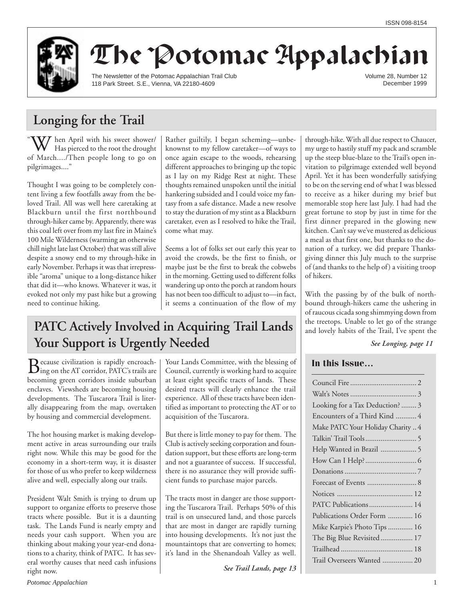

# The Potomac Appalachian

The Newsletter of the Potomac Appalachian Trail Club 118 Park Street. S.E., Vienna, VA 22180-4609

Volume 28, Number 12 December 1999

## **Longing for the Trail**

 $\alpha$  $\sum_{n=1}^{\infty}$  hen April with his sweet shower/ Has pierced to the root the drought of March..../Then people long to go on pilgrimages...."

Thought I was going to be completely content living a few footfalls away from the beloved Trail. All was well here caretaking at Blackburn until the first northbound through-hiker came by. Apparently, there was this coal left over from my last fire in Maine's 100 Mile Wilderness (warming an otherwise chill night late last October) that was still alive despite a snowy end to my through-hike in early November. Perhaps it was that irrepressible "aroma" unique to a long-distance hiker that did it—who knows. Whatever it was, it evoked not only my past hike but a growing need to continue hiking.

Rather guiltily, I began scheming—unbeknownst to my fellow caretaker—of ways to once again escape to the woods, rehearsing different approaches to bringing up the topic as I lay on my Ridge Rest at night. These thoughts remained unspoken until the initial hankering subsided and I could voice my fantasy from a safe distance. Made a new resolve to stay the duration of my stint as a Blackburn caretaker, even as I resolved to hike the Trail, come what may.

Seems a lot of folks set out early this year to avoid the crowds, be the first to finish, or maybe just be the first to break the cobwebs in the morning. Getting used to different folks wandering up onto the porch at random hours has not been too difficult to adjust to—in fact, it seems a continuation of the flow of my

## **PATC Actively Involved in Acquiring Trail Lands Your Support is Urgently Needed**

Because civilization is rapidly encroach-ing on the AT corridor, PATC's trails are becoming green corridors inside suburban enclaves. Viewsheds are becoming housing developments. The Tuscarora Trail is literally disappearing from the map, overtaken by housing and commercial development.

The hot housing market is making development active in areas surrounding our trails right now. While this may be good for the economy in a short-term way, it is disaster for those of us who prefer to keep wilderness alive and well, especially along our trails.

President Walt Smith is trying to drum up support to organize efforts to preserve those tracts where possible. But it is a daunting task. The Lands Fund is nearly empty and needs your cash support. When you are thinking about making your year-end donations to a charity, think of PATC. It has several worthy causes that need cash infusions right now.

Your Lands Committee, with the blessing of Council, currently is working hard to acquire at least eight specific tracts of lands. These desired tracts will clearly enhance the trail experience. All of these tracts have been identified as important to protecting the AT or to acquisition of the Tuscarora.

But there is little money to pay for them. The Club is actively seeking corporation and foundation support, but these efforts are long-term and not a guarantee of success. If successful, there is no assurance they will provide sufficient funds to purchase major parcels.

The tracts most in danger are those supporting the Tuscarora Trail. Perhaps 50% of this trail is on unsecured land, and those parcels that are most in danger are rapidly turning into housing developments. It's not just the mountaintops that are converting to homes; it's land in the Shenandoah Valley as well.

*See Trail Lands, page 13*

through-hike. With all due respect to Chaucer, my urge to hastily stuff my pack and scramble up the steep blue-blaze to the Trail's open invitation to pilgrimage extended well beyond April. Yet it has been wonderfully satisfying to be on the serving end of what I was blessed to receive as a hiker during my brief but memorable stop here last July. I had had the great fortune to stop by just in time for the first dinner prepared in the glowing new kitchen. Can't say we've mustered as delicious a meal as that first one, but thanks to the donation of a turkey, we did prepare Thanksgiving dinner this July much to the surprise of (and thanks to the help of) a visiting troop of hikers.

With the passing by of the bulk of northbound through-hikers came the ushering in of raucous cicada song shimmying down from the treetops. Unable to let go of the strange and lovely habits of the Trail, I've spent the

*See Longing, page 11*

### **In this Issue…**

| Looking for a Tax Deduction?  3   |
|-----------------------------------|
| Encounters of a Third Kind  4     |
| Make PATC Your Holiday Charity  4 |
|                                   |
| Help Wanted in Brazil  5          |
|                                   |
|                                   |
|                                   |
|                                   |
| PATC Publications 14              |
| Publications Order Form  16       |
| Mike Karpie's Photo Tips  16      |
| The Big Blue Revisited 17         |
|                                   |
| Trail Overseers Wanted  20        |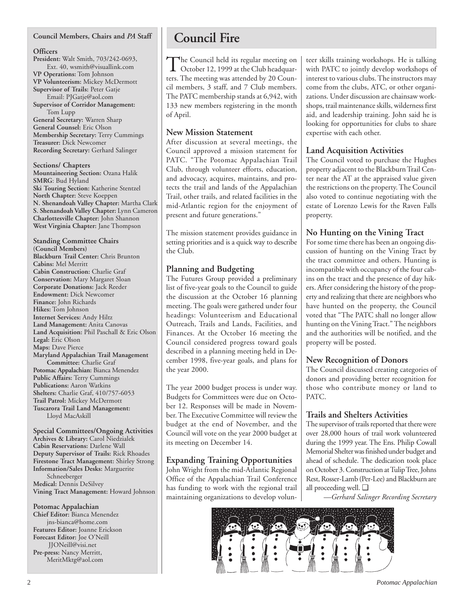#### **Council Members, Chairs and** *PA* **Staff**

#### **Officers**

**President:** Walt Smith, 703/242-0693, Ext. 40, wsmith@visuallink.com **VP Operations:** Tom Johnson **VP Volunteerism:** Mickey McDermott **Supervisor of Trails:** Peter Gatje Email: PJGatje@aol.com **Supervisor of Corridor Management:** Tom Lupp **General Secretary:** Warren Sharp

**General Counsel:** Eric Olson **Membership Secretary:** Terry Cummings **Treasurer:** Dick Newcomer **Recording Secretary:** Gerhard Salinger

**Sections/ Chapters Mountaineering Section:** Ozana Halik **SMRG**: Bud Hyland **Ski Touring Section:** Katherine Stentzel **North Chapter:** Steve Koeppen **N. Shenandoah Valley Chapter:** Martha Clark **S. Shenandoah Valley Chapter:** Lynn Cameron **Charlottesville Chapter:** John Shannon **West Virginia Chapter:** Jane Thompson

**Standing Committee Chairs (Council Members) Blackburn Trail Center:** Chris Brunton **Cabins:** Mel Merritt **Cabin Construction:** Charlie Graf **Conservation:** Mary Margaret Sloan **Corporate Donations:** Jack Reeder **Endowment:** Dick Newcomer **Finance:** John Richards **Hikes:** Tom Johnson **Internet Services:** Andy Hiltz **Land Management:** Anita Canovas **Land Acquisition:** Phil Paschall & Eric Olson **Legal:** Eric Olson **Maps:** Dave Pierce **Maryland Appalachian Trail Management Committee:** Charlie Graf **Potomac Appalachian:** Bianca Menendez **Public Affairs:** Terry Cummings **Publications:** Aaron Watkins **Shelters:** Charlie Graf, 410/757-6053 **Trail Patrol:** Mickey McDermott **Tuscarora Trail Land Management:** Lloyd MacAskill

**Special Committees/Ongoing Activities Archives & Library:** Carol Niedzialek **Cabin Reservations:** Darlene Wall **Deputy Supervisor of Trails:** Rick Rhoades **Firestone Tract Management:** Shirley Strong **Information/Sales Desks:** Marguerite Schneeberger **Medical:** Dennis DeSilvey **Vining Tract Management:** Howard Johnson

#### **Potomac Appalachian**

**Chief Editor:** Bianca Menendez jns-bianca@home.com **Features Editor:** Joanne Erickson **Forecast Editor:** Joe O'Neill JJONeill@visi.net **Pre-press:** Nancy Merritt, MeritMktg@aol.com

## **Council Fire**

The Council held its regular meeting on<br>October 12, 1999 at the Club headquarters. The meeting was attended by 20 Council members, 3 staff, and 7 Club members. The PATC membership stands at 6,942, with 133 new members registering in the month of April.

### **New Mission Statement**

After discussion at several meetings, the Council approved a mission statement for PATC. "The Potomac Appalachian Trail Club, through volunteer efforts, education, and advocacy, acquires, maintains, and protects the trail and lands of the Appalachian Trail, other trails, and related facilities in the mid-Atlantic region for the enjoyment of present and future generations."

The mission statement provides guidance in setting priorities and is a quick way to describe the Club.

### **Planning and Budgeting**

The Futures Group provided a preliminary list of five-year goals to the Council to guide the discussion at the October 16 planning meeting. The goals were gathered under four headings: Volunteerism and Educational Outreach, Trails and Lands, Facilities, and Finances. At the October 16 meeting the Council considered progress toward goals described in a planning meeting held in December 1998, five-year goals, and plans for the year 2000.

The year 2000 budget process is under way. Budgets for Committees were due on October 12. Responses will be made in November. The Executive Committee will review the budget at the end of November, and the Council will vote on the year 2000 budget at its meeting on December 14.

### **Expanding Training Opportunities**

John Wright from the mid-Atlantic Regional Office of the Appalachian Trail Conference has funding to work with the regional trail maintaining organizations to develop volunteer skills training workshops. He is talking with PATC to jointly develop workshops of interest to various clubs. The instructors may come from the clubs, ATC, or other organizations. Under discussion are chainsaw workshops, trail maintenance skills, wilderness first aid, and leadership training. John said he is looking for opportunities for clubs to share expertise with each other.

### **Land Acquisition Activities**

The Council voted to purchase the Hughes property adjacent to the Blackburn Trail Center near the AT at the appraised value given the restrictions on the property. The Council also voted to continue negotiating with the estate of Lorenzo Lewis for the Raven Falls property.

### **No Hunting on the Vining Tract**

For some time there has been an ongoing discussion of hunting on the Vining Tract by the tract committee and others. Hunting is incompatible with occupancy of the four cabins on the tract and the presence of day hikers. After considering the history of the property and realizing that there are neighbors who have hunted on the property, the Council voted that "The PATC shall no longer allow hunting on the Vining Tract." The neighbors and the authorities will be notified, and the property will be posted.

### **New Recognition of Donors**

The Council discussed creating categories of donors and providing better recognition for those who contribute money or land to PATC.

### **Trails and Shelters Activities**

The supervisor of trails reported that there were over 28,000 hours of trail work volunteered during the 1999 year. The Ens. Philip Cowall Memorial Shelter was finished under budget and ahead of schedule. The dedication took place on October 3. Construction at Tulip Tree, Johns Rest, Rosser-Lamb (Per-Lee) and Blackburn are all proceeding well. ❑

*—Gerhard Salinger Recording Secretary*

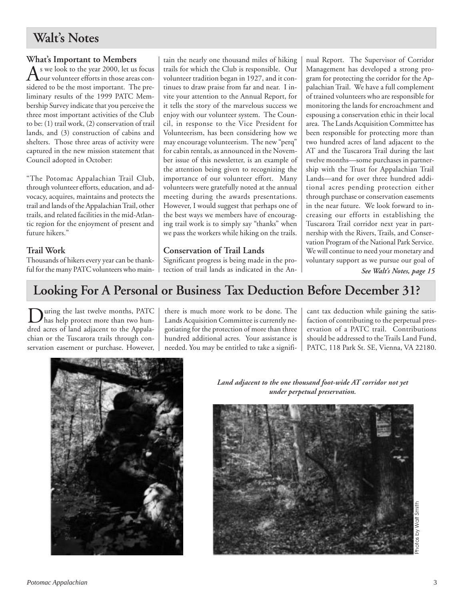## **Walt's Notes**

### **What's Important to Members**

As we look to the year 2000, let us focus<br>our volunteer efforts in those areas considered to be the most important. The preliminary results of the 1999 PATC Membership Survey indicate that you perceive the three most important activities of the Club to be: (1) trail work, (2) conservation of trail lands, and (3) construction of cabins and shelters. Those three areas of activity were captured in the new mission statement that Council adopted in October:

"The Potomac Appalachian Trail Club, through volunteer efforts, education, and advocacy, acquires, maintains and protects the trail and lands of the Appalachian Trail, other trails, and related facilities in the mid-Atlantic region for the enjoyment of present and future hikers."

### **Trail Work**

Thousands of hikers every year can be thankful for the many PATC volunteers who maintain the nearly one thousand miles of hiking trails for which the Club is responsible. Our volunteer tradition began in 1927, and it continues to draw praise from far and near. I invite your attention to the Annual Report, for it tells the story of the marvelous success we enjoy with our volunteer system. The Council, in response to the Vice President for Volunteerism, has been considering how we may encourage volunteerism. The new "perq" for cabin rentals, as announced in the November issue of this newsletter, is an example of the attention being given to recognizing the importance of our volunteer effort. Many volunteers were gratefully noted at the annual meeting during the awards presentations. However, I would suggest that perhaps one of the best ways we members have of encouraging trail work is to simply say "thanks" when we pass the workers while hiking on the trails.

### **Conservation of Trail Lands**

Significant progress is being made in the protection of trail lands as indicated in the An-

*See Walt's Notes, page 15* nual Report. The Supervisor of Corridor Management has developed a strong program for protecting the corridor for the Appalachian Trail. We have a full complement of trained volunteers who are responsible for monitoring the lands for encroachment and espousing a conservation ethic in their local area. The Lands Acquisition Committee has been responsible for protecting more than two hundred acres of land adjacent to the AT and the Tuscarora Trail during the last twelve months—some purchases in partnership with the Trust for Appalachian Trail Lands—and for over three hundred additional acres pending protection either through purchase or conservation easements in the near future. We look forward to increasing our efforts in establishing the Tuscarora Trail corridor next year in partnership with the Rivers, Trails, and Conservation Program of the National Park Service. We will continue to need your monetary and voluntary support as we pursue our goal of

## **Looking For A Personal or Business Tax Deduction Before December 31?**

uring the last twelve months, PATC has help protect more than two hundred acres of land adjacent to the Appalachian or the Tuscarora trails through conservation easement or purchase. However,

there is much more work to be done. The Lands Acquisition Committee is currently negotiating for the protection of more than three hundred additional acres. Your assistance is needed. You may be entitled to take a signifi-

cant tax deduction while gaining the satisfaction of contributing to the perpetual preservation of a PATC trail. Contributions should be addressed to the Trails Land Fund, PATC, 118 Park St. SE, Vienna, VA 22180.



*Land adjacent to the one thousand foot-wide AT corridor not yet under perpetual preservation.*

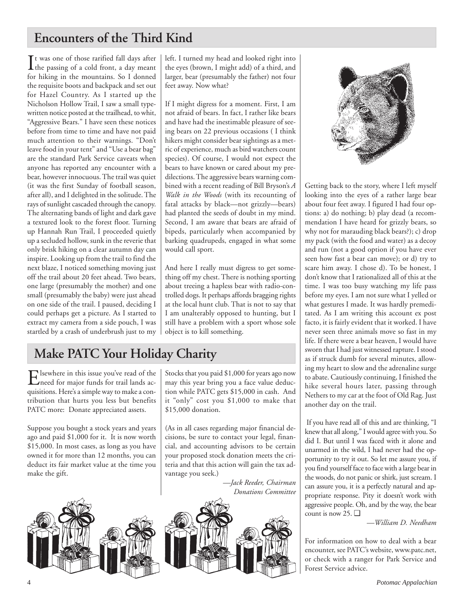## **Encounters of the Third Kind**

 $\prod$ t was one of those rarified fall days after<br>the passing of a cold front, a day meant the passing of a cold front, a day meant for hiking in the mountains. So I donned the requisite boots and backpack and set out for Hazel Country. As I started up the Nicholson Hollow Trail, I saw a small typewritten notice posted at the trailhead, to whit, "Aggressive Bears." I have seen these notices before from time to time and have not paid much attention to their warnings. "Don't leave food in your tent" and "Use a bear bag" are the standard Park Service caveats when anyone has reported any encounter with a bear, however innocuous. The trail was quiet (it was the first Sunday of football season, after all), and I delighted in the solitude. The rays of sunlight cascaded through the canopy. The alternating bands of light and dark gave a textured look to the forest floor. Turning up Hannah Run Trail, I proceeded quietly up a secluded hollow, sunk in the reverie that only brisk hiking on a clear autumn day can inspire. Looking up from the trail to find the next blaze, I noticed something moving just off the trail about 20 feet ahead. Two bears, one large (presumably the mother) and one small (presumably the baby) were just ahead on one side of the trail. I paused, deciding I could perhaps get a picture. As I started to extract my camera from a side pouch, I was startled by a crash of underbrush just to my left. I turned my head and looked right into the eyes (brown, I might add) of a third, and larger, bear (presumably the father) not four feet away. Now what?

If I might digress for a moment. First, I am not afraid of bears. In fact, I rather like bears and have had the inestimable pleasure of seeing bears on 22 previous occasions ( I think hikers might consider bear sightings as a metric of experience, much as bird watchers count species). Of course, I would not expect the bears to have known or cared about my predilections. The aggressive bears warning combined with a recent reading of Bill Bryson's *A Walk in the Woods* (with its recounting of fatal attacks by black—not grizzly—bears) had planted the seeds of doubt in my mind. Second, I am aware that bears are afraid of bipeds, particularly when accompanied by barking quadrupeds, engaged in what some would call sport.

And here I really must digress to get something off my chest. There is nothing sporting about treeing a hapless bear with radio-controlled dogs. It perhaps affords bragging rights at the local hunt club. That is not to say that I am unalterably opposed to hunting, but I still have a problem with a sport whose sole object is to kill something.

Stocks that you paid \$1,000 for years ago now may this year bring you a face value deduction while PATC gets \$15,000 in cash. And it "only" cost you \$1,000 to make that

(As in all cases regarding major financial decisions, be sure to contact your legal, financial, and accounting advisors to be certain your proposed stock donation meets the criteria and that this action will gain the tax ad-

*—Jack Reeder, Chairman*



\$15,000 donation.

vantage you seek.)



Getting back to the story, where I left myself looking into the eyes of a rather large bear about four feet away. I figured I had four options: a) do nothing; b) play dead (a recommendation I have heard for grizzly bears, so why not for marauding black bears?); c) drop my pack (with the food and water) as a decoy and run (not a good option if you have ever seen how fast a bear can move); or d) try to scare him away. I chose d). To be honest, I don't know that I rationalized all of this at the time. I was too busy watching my life pass before my eyes. I am not sure what I yelled or what gestures I made. It was hardly premeditated. As I am writing this account ex post facto, it is fairly evident that it worked. I have never seen three animals move so fast in my life. If there were a bear heaven, I would have sworn that I had just witnessed rapture. I stood as if struck dumb for several minutes, allowing my heart to slow and the adrenaline surge to abate. Cautiously continuing, I finished the hike several hours later, passing through Nethers to my car at the foot of Old Rag. Just another day on the trail.

 If you have read all of this and are thinking, "I knew that all along," I would agree with you. So did I. But until I was faced with it alone and unarmed in the wild, I had never had the opportunity to try it out. So let me assure you, if you find yourself face to face with a large bear in the woods, do not panic or shirk, just scream. I can assure you, it is a perfectly natural and appropriate response. Pity it doesn't work with aggressive people. Oh, and by the way, the bear count is now 25. ❑

*—William D. Needham*

For information on how to deal with a bear encounter, see PATC's website, www.patc.net, or check with a ranger for Park Service and Forest Service advice.

## **Make PATC Your Holiday Charity**

Elsewhere in this issue you've read of the<br>need for major funds for trail lands acquisitions. Here's a simple way to make a contribution that hurts you less but benefits PATC more: Donate appreciated assets.

Suppose you bought a stock years and years ago and paid \$1,000 for it. It is now worth \$15,000. In most cases, as long as you have owned it for more than 12 months, you can deduct its fair market value at the time you make the gift.

*Donations Committee*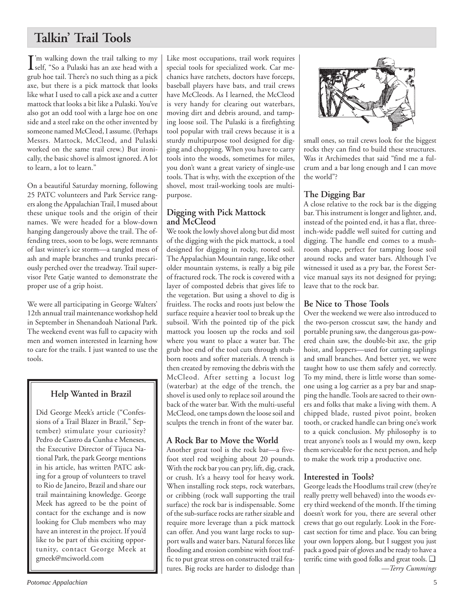## **Talkin' Trail Tools**

 $\int$ 'm walking down the trail talking to my<br>self, "So a Pulaski has an axe head with a self, "So a Pulaski has an axe head with a grub hoe tail. There's no such thing as a pick axe, but there is a pick mattock that looks like what I used to call a pick axe and a cutter mattock that looks a bit like a Pulaski. You've also got an odd tool with a large hoe on one side and a steel rake on the other invented by someone named McCleod, I assume. (Perhaps Messrs. Mattock, McCleod, and Pulaski worked on the same trail crew.) But ironically, the basic shovel is almost ignored. A lot to learn, a lot to learn."

On a beautiful Saturday morning, following 25 PATC volunteers and Park Service rangers along the Appalachian Trail, I mused about these unique tools and the origin of their names. We were headed for a blow-down hanging dangerously above the trail. The offending trees, soon to be logs, were remnants of last winter's ice storm—a tangled mess of ash and maple branches and trunks precariously perched over the treadway. Trail supervisor Pete Gatje wanted to demonstrate the proper use of a grip hoist.

We were all participating in George Walters' 12th annual trail maintenance workshop held in September in Shenandoah National Park. The weekend event was full to capacity with men and women interested in learning how to care for the trails. I just wanted to use the tools.

## **Help Wanted in Brazil**

Did George Meek's article ("Confessions of a Trail Blazer in Brazil," September) stimulate your curiosity? Pedro de Castro da Cunha e Meneses, the Executive Director of Tijuca National Park, the park George mentions in his article, has written PATC asking for a group of volunteers to travel to Rio de Janeiro, Brazil and share our trail maintaining knowledge. George Meek has agreed to be the point of contact for the exchange and is now looking for Club members who may have an interest in the project. If you'd like to be part of this exciting opportunity, contact George Meek at gmeek@mciworld.com

Like most occupations, trail work requires special tools for specialized work. Car mechanics have ratchets, doctors have forceps, baseball players have bats, and trail crews have McCleods. As I learned, the McCleod is very handy for clearing out waterbars, moving dirt and debris around, and tamping loose soil. The Pulaski is a firefighting tool popular with trail crews because it is a sturdy multipurpose tool designed for digging and chopping. When you have to carry tools into the woods, sometimes for miles, you don't want a great variety of single-use tools. That is why, with the exception of the shovel, most trail-working tools are multipurpose.

## **Digging with Pick Mattock and McCleod**

We took the lowly shovel along but did most of the digging with the pick mattock, a tool designed for digging in rocky, rooted soil. The Appalachian Mountain range, like other older mountain systems, is really a big pile of fractured rock. The rock is covered with a layer of composted debris that gives life to the vegetation. But using a shovel to dig is fruitless. The rocks and roots just below the surface require a heavier tool to break up the subsoil. With the pointed tip of the pick mattock you loosen up the rocks and soil where you want to place a water bar. The grub hoe end of the tool cuts through stubborn roots and softer materials. A trench is then created by removing the debris with the McCleod. After setting a locust log (waterbar) at the edge of the trench, the shovel is used only to replace soil around the back of the water bar. With the multi-useful McCleod, one tamps down the loose soil and sculpts the trench in front of the water bar.

## **A Rock Bar to Move the World**

Another great tool is the rock bar—a fivefoot steel rod weighing about 20 pounds. With the rock bar you can pry, lift, dig, crack, or crush. It's a heavy tool for heavy work. When installing rock steps, rock waterbars, or cribbing (rock wall supporting the trail surface) the rock bar is indispensable. Some of the sub-surface rocks are rather sizable and require more leverage than a pick mattock can offer. And you want large rocks to support walls and water bars. Natural forces like flooding and erosion combine with foot traffic to put great stress on constructed trail features. Big rocks are harder to dislodge than



small ones, so trail crews look for the biggest rocks they can find to build these structures. Was it Archimedes that said "find me a fulcrum and a bar long enough and I can move the world"?

## **The Digging Bar**

A close relative to the rock bar is the digging bar. This instrument is longer and lighter, and, instead of the pointed end, it has a flat, threeinch-wide paddle well suited for cutting and digging. The handle end comes to a mushroom shape, perfect for tamping loose soil around rocks and water bars. Although I've witnessed it used as a pry bar, the Forest Service manual says its not designed for prying; leave that to the rock bar.

## **Be Nice to Those Tools**

Over the weekend we were also introduced to the two-person crosscut saw, the handy and portable pruning saw, the dangerous gas-powered chain saw, the double-bit axe, the grip hoist, and loppers—used for cutting saplings and small branches. And better yet, we were taught how to use them safely and correctly. To my mind, there is little worse than someone using a log carrier as a pry bar and snapping the handle. Tools are sacred to their owners and folks that make a living with them. A chipped blade, rusted pivot point, broken tooth, or cracked handle can bring one's work to a quick conclusion. My philosophy is to treat anyone's tools as I would my own, keep them serviceable for the next person, and help to make the work trip a productive one.

## **Interested in Tools?**

George leads the Hoodlums trail crew (they're really pretty well behaved) into the woods every third weekend of the month. If the timing doesn't work for you, there are several other crews that go out regularly. Look in the Forecast section for time and place. You can bring your own loppers along, but I suggest you just pack a good pair of gloves and be ready to have a terrific time with good folks and great tools. ❑ *—Terry Cummings*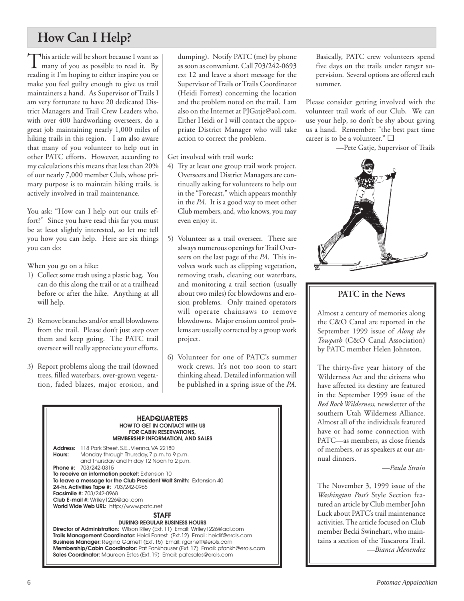## **How Can I Help?**

This article will be short because I want as<br>many of you as possible to read it. By reading it I'm hoping to either inspire you or make you feel guilty enough to give us trail maintainers a hand. As Supervisor of Trails I am very fortunate to have 20 dedicated District Managers and Trail Crew Leaders who, with over 400 hardworking overseers, do a great job maintaining nearly 1,000 miles of hiking trails in this region. I am also aware that many of you volunteer to help out in other PATC efforts. However, according to my calculations this means that less than 20% of our nearly 7,000 member Club, whose primary purpose is to maintain hiking trails, is actively involved in trail maintenance.

You ask: "How can I help out our trails effort?" Since you have read this far you must be at least slightly interested, so let me tell you how you can help. Here are six things you can do:

When you go on a hike:

- 1) Collect some trash using a plastic bag. You can do this along the trail or at a trailhead before or after the hike. Anything at all will help.
- 2) Remove branches and/or small blowdowns from the trail. Please don't just step over them and keep going. The PATC trail overseer will really appreciate your efforts.
- 3) Report problems along the trail (downed trees, filled waterbars, over-grown vegetation, faded blazes, major erosion, and

dumping). Notify PATC (me) by phone as soon as convenient. Call 703/242-0693 ext 12 and leave a short message for the Supervisor of Trails or Trails Coordinator (Heidi Forrest) concerning the location and the problem noted on the trail. I am also on the Internet at PJGatje@aol.com. Either Heidi or I will contact the appropriate District Manager who will take action to correct the problem.

Get involved with trail work:

- 4) Try at least one group trail work project. Overseers and District Managers are continually asking for volunteers to help out in the "Forecast," which appears monthly in the *PA*. It is a good way to meet other Club members, and, who knows, you may even enjoy it.
- 5) Volunteer as a trail overseer. There are always numerous openings for Trail Overseers on the last page of the *PA*. This involves work such as clipping vegetation, removing trash, cleaning out waterbars, and monitoring a trail section (usually about two miles) for blowdowns and erosion problems. Only trained operators will operate chainsaws to remove blowdowns. Major erosion control problems are usually corrected by a group work project.
- 6) Volunteer for one of PATC's summer work crews. It's not too soon to start thinking ahead. Detailed information will be published in a spring issue of the *PA.*



Basically, PATC crew volunteers spend five days on the trails under ranger supervision. Several options are offered each summer.

Please consider getting involved with the volunteer trail work of our Club. We can use your help, so don't be shy about giving us a hand. Remember: "the best part time career is to be a volunteer." ❑

—Pete Gatje, Supervisor of Trails



## **PATC in the News**

Almost a century of memories along the C&O Canal are reported in the September 1999 issue of *Along the Towpath* (C&O Canal Association) by PATC member Helen Johnston.

The thirty-five year history of the Wilderness Act and the citizens who have affected its destiny are featured in the September 1999 issue of the *Red Rock Wilderness,* newsletter of the southern Utah Wilderness Alliance. Almost all of the individuals featured have or had some connection with PATC—as members, as close friends of members, or as speakers at our annual dinners.

*—Paula Strain*

The November 3, 1999 issue of the *Washington Post's* Style Section featured an article by Club member John Luck about PATC's trail maintenance activities. The article focused on Club member Becki Swinehart, who maintains a section of the Tuscarora Trail. *—Bianca Menendez*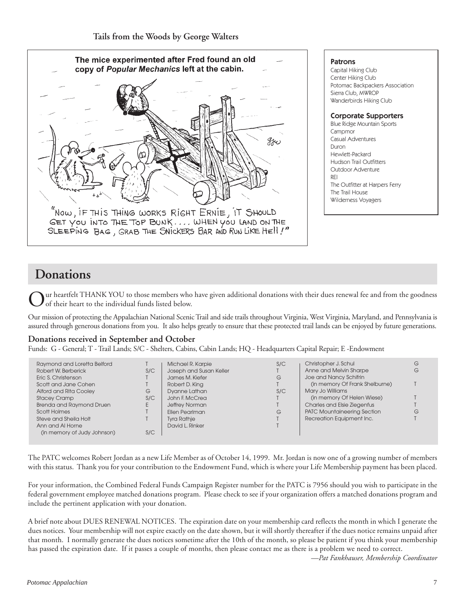

## **Donations**

ur heartfelt THANK YOU to those members who have given additional donations with their dues renewal fee and from the goodness of their heart to the individual funds listed below.

Our mission of protecting the Appalachian National Scenic Trail and side trails throughout Virginia, West Virginia, Maryland, and Pennsylvania is assured through generous donations from you. It also helps greatly to ensure that these protected trail lands can be enjoyed by future generations.

#### **Donations received in September and October**

Funds: G - General; T - Trail Lands; S/C - Shelters, Cabins, Cabin Lands; HQ - Headquarters Capital Repair; E -Endowment

| Raymond and Loretta Belford |     | Michael R. Karpie       | S/C | Christopher J. Schul               | G |
|-----------------------------|-----|-------------------------|-----|------------------------------------|---|
| Robert W. Berberick         | S/C | Joseph and Susan Keller |     | Anne and Melvin Sharpe             | G |
| Eric S. Christenson         |     | James M. Kiefer         | G   | Joe and Nancy Schifrin             |   |
| Scott and Jane Cohen        |     | Robert D. King          |     | (in memory Of Frank Shelburne)     |   |
| Alford and Rita Cooley      | G   | Dyanne Lathan           | S/C | Mary Jo Williams                   |   |
| <b>Stacey Cramp</b>         | S/C | John F. McCrea          |     | (in memory Of Helen Wiese)         |   |
| Brenda and Raymond Druen    |     | Jeffrey Norman          |     | Charles and Elsie Ziegenfus        |   |
| Scott Holmes                |     | Ellen Pearlman          | G   | <b>PATC Mountaineering Section</b> | G |
| Steve and Sheila Holt       |     | <b>Tyra Rathje</b>      |     | Recreation Equipment Inc.          |   |
| Ann and AI Horne            |     | David L. Rinker         |     |                                    |   |
| (in memory of Judy Johnson) | S/C |                         |     |                                    |   |
|                             |     |                         |     |                                    |   |

The PATC welcomes Robert Jordan as a new Life Member as of October 14, 1999. Mr. Jordan is now one of a growing number of members with this status. Thank you for your contribution to the Endowment Fund, which is where your Life Membership payment has been placed.

For your information, the Combined Federal Funds Campaign Register number for the PATC is 7956 should you wish to participate in the federal government employee matched donations program. Please check to see if your organization offers a matched donations program and include the pertinent application with your donation.

A brief note about DUES RENEWAL NOTICES. The expiration date on your membership card reflects the month in which I generate the dues notices. Your membership will not expire exactly on the date shown, but it will shortly thereafter if the dues notice remains unpaid after that month. I normally generate the dues notices sometime after the 10th of the month, so please be patient if you think your membership has passed the expiration date. If it passes a couple of months, then please contact me as there is a problem we need to correct.

*—Pat Fankhauser, Membership Coordinator*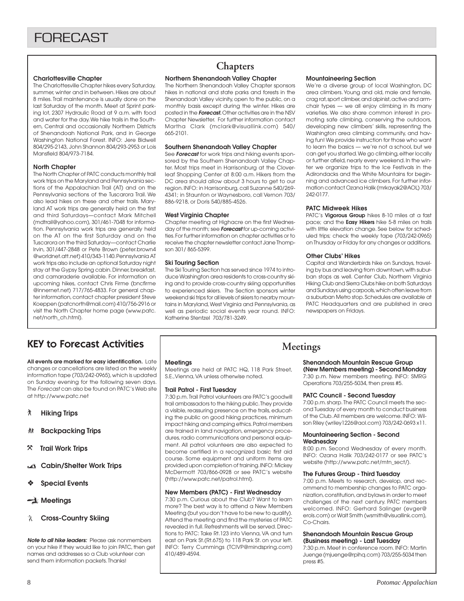#### **Charlottesville Chapter**

The Charlottesville Chapter hikes every Saturday, summer, winter and in between. Hikes are about 8 miles. Trail maintenance is usually done on the last Saturday of the month. Meet at Sprint parking lot, 2307 Hydraulic Road at 9 a.m. with food and water for the day. We hike trails in the Southern, Central and occasionally Northern Districts of Shenandoah National Park, and in George Washington National Forest. INFO: Jere Bidwell 804/295-2143, John Shannon 804/293-2953 or Lois Mansfield 804/973-7184.

#### **North Chapter**

The North Chapter of PATC conducts monthly trail work trips on the Maryland and Pennsylvania sections of the Appalachian Trail (AT) and on the Pennsylvania sections of the Tuscarora Trail. We also lead hikes on these and other trails. Maryland AT work trips are generally held on the first and third Saturdays—contact Mark Mitchell (mdtrail@yahoo.com), 301/461-7048 for information. Pennsylvania work trips are generally held on the AT on the first Saturday and on the Tuscarora on the third Saturday—contact Charlie Irvin, 301/447-2848 or Pete Brown (peter.brown4 @worldnet.att.net) 410/343-1140. Pennsylvania AT work trips also include an optional Saturday night stay at the Gypsy Spring cabin. Dinner, breakfast, and camaraderie available. For information on upcoming hikes, contact Chris Firme (bncfirme @innernet.net) 717/765-4833. For general chapter information, contact chapter president Steve Koeppen (patcnorth@mail.com) 410/756-2916 or visit the North Chapter home page (www.patc. net/north\_ch.html).

## **Chapters**

#### **Northern Shenandoah Valley Chapter**

The Northern Shenandoah Valley Chapter sponsors hikes in national and state parks and forests in the Shenandoah Valley vicinity, open to the public, on a monthly basis except during the winter. Hikes are posted in the **Forecast.** Other activities are in the NSV Chapter Newsletter. For further information contact Martha Clark (mclark@visuallink.com) 540/ 665-2101.

#### **Southern Shenandoah Valley Chapter**

See **Forecast** for work trips and hiking events sponsored by the Southern Shenandoah Valley Chapter. Most trips meet in Harrisonburg at the Cloverleaf Shopping Center at 8:00 a.m. Hikers from the DC area should allow about 3 hours to get to our region. INFO: in Harrisonburg, call Suzanne 540/269- 4341; in Staunton or Waynesboro, call Vernon 703/ 886-9218, or Doris 540/885-4526.

#### **West Virginia Chapter**

Chapter meeting at Highacre on the first Wednesday of the month; see **Forecast** for up-coming activities. For further information on chapter activities or to receive the chapter newsletter contact Jane Thompson 301/ 865-5399.

#### **Ski Touring Section**

The Ski Touring Section has served since 1974 to introduce Washington area residents to cross-country skiing and to provide cross-country skiing opportunities to experienced skiers. The Section sponsors winter weekend ski trips for all levels of skiers to nearby mountains in Maryland, West Virginia and Pennsylvania, as well as periodic social events year round. INFO: Katherine Stentzel 703/781-3249.

#### **Mountaineering Section**

We're a diverse group of local Washington, DC area climbers. Young and old, male and female, crag rat, sport climber, and alpinist, active and armchair types — we all enjoy climbing in its many varieties. We also share common interest in promoting safe climbing, conserving the outdoors, developing new climbers' skills, representing the Washington area climbing community, and having fun! We provide instruction for those who want to learn the basics — we're not a school, but we can get you started. We go climbing, either locally or further afield, nearly every weekend. In the winter we organize trips to the Ice Festivals in the Adirondacks and the White Mountains for beginning and advanced ice climbers. For further information contact Ozana Halik (mrkayak2@AOL) 703/ 242-0177.

#### **PATC Midweek Hikes**

PATC's **Vigorous Group** hikes 8-10 miles at a fast pace; and the **Easy Hikers** hike 5-8 miles on trails with little elevation change. See below for scheduled trips; check the weekly tape (703/242-0965) on Thursday or Friday for any changes or additions.

#### **Other Clubs' Hikes**

Capital and Wanderbirds hike on Sundays, traveling by bus and leaving from downtown, with suburban stops as well. Center Club, Northern Virginia Hiking Club and Sierra Clubs hike on both Saturdays and Sundays using carpools, which often leave from a suburban Metro stop. Schedules are available at PATC Headquarters and are published in area newspapers on Fridays.

## KEY to Forecast Activities

**All events are marked for easy identification.** Late changes or cancellations are listed on the weekly information tape (703/242-0965), which is updated on Sunday evening for the following seven days. The Forecast can also be found on PATC's Web site at http://www.patc.net

- ` **Hiking Trips**
- **Backpacking Trips**
- } **Trail Work Trips**
- **Cabin/Shelter Work Trips**
- ❖ **Special Events**

#### **Meetings**

**Cross-Country Skiing**

**Note to all hike leaders:** Please ask nonmembers on your hike if they would like to join PATC, then get names and addresses so a Club volunteer can send them information packets. Thanks!

#### **Meetings**

Meetings are held at PATC HQ, 118 Park Street, S.E.,Vienna, VA unless otherwise noted.

#### **Trail Patrol - First Tuesday**

7:30 p.m. Trail Patrol volunteers are PATC's goodwill trail ambassadors to the hiking public. They provide a visible, reassuring presence on the trails, educating the public on good hiking practices, minimum impact hiking and camping ethics. Patrol members are trained in land navigation, emergency procedures, radio communications and personal equipment. All patrol volunteers are also expected to become certified in a recognized basic first aid course. Some equipment and uniform items are provided upon completion of training. INFO: Mickey McDermott 703/866-0928 or see PATC's website (http://www.patc.net/patrol.html).

#### **New Members (PATC) - First Wednesday**

7:30 p.m. Curious about the Club? Want to learn more? The best way is to attend a New Members Meeting (but you don't have to be new to qualify). Attend the meeting and find the mysteries of PATC revealed in full. Refreshments will be served. Directions to PATC: Take Rt.123 into Vienna, VA and turn east on Park St.(Rt.675) to 118 Park St. on your left. INFO: Terry Cummings (TCIVP@mindspring.com) 410/489-4594.

## **Meetings**

## **Shenandoah Mountain Rescue Group**

**(New Members meeting) - Second Monday** 7:30 p.m. New members meeting. INFO: SMRG Operations 703/255-5034, then press #5.

#### **PATC Council - Second Tuesday**

7:00 p.m. sharp. The PATC Council meets the second Tuesday of every month to conduct business of the Club. All members are welcome. INFO: Wilson Riley (wriley1226@aol.com) 703/242-0693 x11.

#### **Mountaineering Section - Second Wednesday**

8:00 p.m. Second Wednesday of every month. INFO: Ozana Halik 703/242-0177 or see PATC's website (http://www.patc.net/mtn\_sect/).

#### **The Futures Group - Third Tuesday**

7:00 p.m. Meets to research, develop, and recommend to membership changes to PATC organization, constitution, and bylaws in order to meet challenges of the next century. PATC members welcomed. INFO: Gerhard Salinger (evger@ erols.com) or Walt Smith (wsmith@visuallink.com), Co-Chairs.

#### **Shenandoah Mountain Rescue Group (Business meeting) - Last Tuesday**

7:30 p.m. Meet in conference room. INFO: Martin Juenge (mjuenge@rpihq.com) 703/255-5034 then press #5.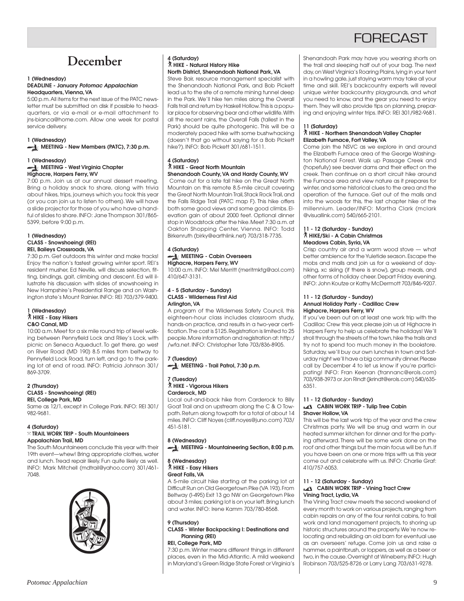## **FORFCAST**

## **December**

#### **1 (Wednesday) DEADLINE - January Potomac Appalachian Headquarters, Vienna, VA**

5:00 p.m. All items for the next issue of the PATC newsletter must be submitted on disk if possible to headquarters, or via e-mail or e-mail attachment to jns-bianca@home.com. Allow one week for postal service delivery.

#### **1 (Wednesday)**

**MEETING - New Members (PATC), 7:30 p.m.**

#### **1 (Wednesday) MEETING - West Virginia Chapter Highacre, Harpers Ferry, WV**

7:00 p.m. Join us at our annual dessert meeting. Bring a holiday snack to share, along with trivia about hikes, trips, journeys which you took this year (or you can join us to listen to others). We will have a slide projector for those of you who have a handful of slides to share. INFO: Jane Thompson 301/865- 5399, before 9:00 p.m.

#### **1 (Wednesday) CLASS - Snowshoeing! (REI) REI, Baileys Crossroads, VA**

7:30 p.m. Get outdoors this winter and make tracks! Enjoy the nation's fastest growing winter sport. REI's resident musher, Ed Neville, will discuss selection, fitting, bindings, gait, climbing and descent. Ed will illustrate his discussion with slides of snowshoeing in New Hampshire's Presidential Range and on Washington state's Mount Rainier. INFO: REI 703/379-9400.

#### **1 (Wednesday)** ` **HIKE - Easy Hikers C&O Canal, MD**

10:00 a.m. Meet for a six mile round trip of level walking between Pennyfield Lock and Riley's Lock, with picnic on Seneca Aqueduct. To get there, go west on River Road (MD 190) 8.5 miles from beltway to Pennyfield Lock Road, turn left, and go to the parking lot at end of road. INFO: Patricia Johnson 301/ 869-3709.

#### **2 (Thursday) CLASS - Snowshoeing! (REI) REI, College Park, MD**

Same as 12/1, except in College Park. INFO: REI 301/ 982-9681.

#### **4 (Saturday)**

#### } **TRAIL WORK TRIP - South Mountaineers Appalachian Trail, MD**

The South Mountaineers conclude this year with their 19th event—whew! Bring appropriate clothes, water and lunch. Tread repair likely. Fun quite likely as well. INFO: Mark Mitchell (mdtrail@yahoo.com) 301/461- 7048.



#### **4 (Saturday)** ` **HIKE - Natural History Hike North District, Shenandoah National Park, VA**

Steve Bair, resource management specialist with the Shenandoah National Park, and Bob Pickett lead us to the site of a remote mining tunnel deep in the Park. We'll hike ten miles along the Overall Falls trail and return by Haskell Hollow. This is a popular place for observing bear and other wildlife. With all the recent rains, the Overall Falls (tallest in the Park) should be quite photogenic. This will be a moderately paced hike with some bushwhacking (doesn't that go without saying for a Bob Pickett hike?). INFO: Bob Pickett 301/681-1511.

#### **4 (Saturday)** ` **HIKE - Great North Mountain**

**Shenandoah County, VA and Hardy County, WV** Come out for a late fall hike on the Great North Mountain on this remote 8.5-mile circuit covering the Great North Mountain Trail, Stack Rock Trail, and the Falls Ridge Trail (PATC map F). This hike offers both some good views and some good climbs. Elevation gain of about 2000 feet. Optional dinner stop in Woodstock after the hike. Meet 7:30 a.m. at Oakton Shopping Center, Vienna. INFO: Todd Birkenruth (birky@earthlink.net) 703/318-7735.

#### **4 (Saturday) MEETING - Cabin Overseers**

## **Highacre, Harpers Ferry, WV**

10:00 a.m. INFO: Mel Merritt (meritmktg@aol.com) 410/647-3131.

#### **4 - 5 (Saturday - Sunday) CLASS - Wilderness First Aid Arlington, VA**

A program of the Wilderness Safety Council, this eighteen-hour class includes classroom study, hands-on practice, and results in a two-year certification. The cost is \$125. Registration is limited to 25 people. More information and registration at: http:/ /wfa.net. INFO: Christopher Tate 703/836-8905.

**7 (Tuesday) MEETING - Trail Patrol, 7:30 p.m.** 

#### **7 (Tuesday)** ` **HIKE - Vigorous Hikers Carderock, MD**

Local out-and-back hike from Carderock to Billy Goat Trail and on upstream along the C & O Towpath. Return along towpath for a total of about 14 miles. INFO: Cliff Noyes (cliff.noyes@juno.com) 703/ 451-5181.

#### **8 (Wednesday)**

**MEETING - Mountaineering Section, 8:00 p.m.**

#### **8 (Wednesday)** ` **HIKE - Easy Hikers Great Falls, VA**

A 5-mile circuit hike starting at the parking lot at Difficult Run on Old Georgetown Pike (VA 193). From Beltway (I-495) Exit 13 go NW on Georgetown Pike about 3 miles; parking lot is on your left. Bring lunch and water. INFO: Irene Kamm 703/780-8568.

#### **9 (Thursday) CLASS - Winter Backpacking I: Destinations and Planning (REI) REI, College Park, MD**

7:30 p.m. Winter means different things in different places, even in the Mid-Atlantic. A mild weekend in Maryland's Green Ridge State Forest or Virginia's

Shenandoah Park may have you wearing shorts on the trail and sleeping half out of your bag. The next day, on West Virginia's Roaring Plains, lying in your tent in a howling gale, just staying warm may take all your time and skill. REI's backcountry experts will reveal unique winter backcountry playgrounds, and what you need to know, and the gear you need to enjoy them. They will also provide tips on planning, preparing and enjoying winter trips. INFO: REI 301/982-9681.

#### **11 (Saturday)**

#### ` **HIKE - Northern Shenandoah Valley Chapter Elizabeth Furnace, Fort Valley, VA**

Come join the NSVC as we explore in and around the Elizabeth Furnace area of the George Washington National Forest. Walk up Passage Creek and (hopefully) see beaver dams and their effect on the creek. Then continue on a short circuit hike around the Furnace area and view nature as it prepares for winter, and some historical clues to the area and the operation of the furnace. Get out of the malls and into the woods for this, the last chapter hike of the millennium. Leader/INFO: Martha Clark (mclark @visuallink.com) 540/665-2101.

#### **11 - 12 (Saturday - Sunday)** ` **HIKE/Ski - A Cabin Christmas Meadows Cabin, Syria, VA**

Crisp country air and a warm wood stove — what better ambience for the Yuletide season. Escape the mobs and malls and join us for a weekend of dayhiking, xc skiing (if there is snow), group meals, and other forms of holiday cheer. Depart Friday evening. INFO: John Koutze or Kathy McDermott 703/846-9207.

#### **11 - 12 (Saturday - Sunday) Annual Holiday Party - Cadillac Crew Highacre, Harpers Ferry, WV**

If you've been out on at least one work trip with the Cadillac Crew this year, please join us at Highacre in Harpers Ferry to help us celebrate the holidays! We'll stroll through the streets of the town, hike the trails and try not to spend too much money in the bookstore. Saturday, we'll buy our own lunches in town and Saturday night we'll have a big community dinner. Please call by December 4 to let us know if you're participating! INFO: Fran Keenan (frannanc@erols.com) 703/938-3973 or Jon Rindt (jkrindt@erols.com) 540/635- 6351.

#### **11 - 12 (Saturday - Sunday) CABIN WORK TRIP - Tulip Tree Cabin Shaver Hollow, VA**

This will be the last work trip of the year and the crew Christmas party. We will be snug and warm in our heated summer kitchen for dinner and for the partying afterward. There will be some work done on the roof and other things but the main focus will be fun. If you have been on one or more trips with us this year come out and celebrate with us. INFO: Charlie Graf: 410/757-6053.

#### **11 - 12 (Saturday - Sunday) CABIN WORK TRIP - Vining Tract Crew Vining Tract, Lydia, VA**

The Vining Tract crew meets the second weekend of every month to work on various projects, ranging from cabin repairs on any of the four rental cabins, to trail work and land management projects, to shoring up historic structures around the property. We're now relocating and rebuilding an old barn for eventual use as an overseers' refuge. Come join us and raise a hammer, a paintbrush, or loppers, as well as a beer or two, in the cause. Overnight at Wineberry. INFO: Hugh Robinson 703/525-8726 or Larry Lang 703/631-9278.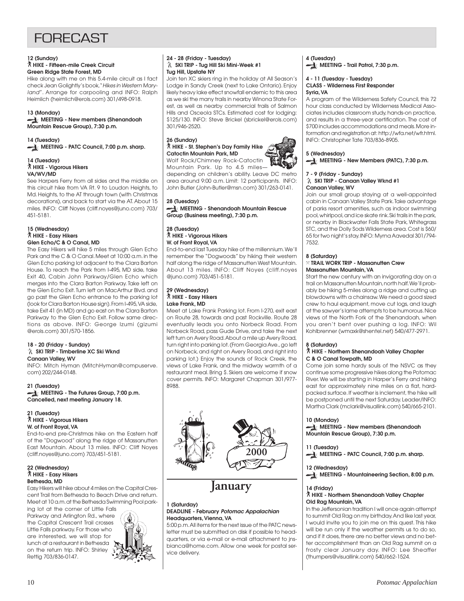## **FORFCAST**

#### **12 (Sunday)** ` **HIKE - Fifteen-mile Creek Circuit Green Ridge State Forest, MD**

Hike along with me on this 5.4-mile circuit as I fact check Jean Golightly's book, "Hikes in Western Maryland". Arrange for carpooling and INFO: Ralph Heimlich (heimlich@erols.com) 301/498-0918.

#### **13 (Monday)**

**MEETING - New members (Shenandoah Mountain Rescue Group), 7:30 p.m.**

#### **14 (Tuesday)**

**MEETING - PATC Council, 7:00 p.m. sharp.**

#### **14 (Tuesday)** ` **HIKE - Vigorous Hikers VA/WV/MD**

See Harpers Ferry from all sides and the middle on this circuit hike from VA Rt. 9 to Loudon Heights, to Md. Heights, to the AT through town (with Christmas decorations), and back to start via the AT. About 15 miles. INFO: Cliff Noyes (cliff.noyes@juno.com) 703/ 451-5181.

## **15 (Wednesday)** ` **HIKE - Easy Hikers Glen Echo/C & O Canal, MD**

The Easy Hikers will hike 5 miles through Glen Echo Park and the C & O Canal. Meet at 10:00 a.m. in the Glen Echo parking lot adjacent to the Clara Barton House. To reach the Park from I-495, MD side, take Exit 40, Cabin John Parkway/Glen Echo which merges into the Clara Barton Parkway. Take left on the Glen Echo Exit. Turn left on MacArthur Blvd. and go past the Glen Echo entrance to the parking lot (look for Clara Barton House sign). From I-495, VA side, take Exit 41 (in MD) and go east on the Clara Barton Parkway to the Glen Echo Exit. Follow same directions as above. INFO: George Izumi (gizumi @erols.com) 301/570-1856.

#### **18 - 20 (Friday - Sunday) SKI TRIP - Timberline XC Ski Wknd Canaan Valley, WV**

INFO: Mitch Hyman (MitchHyman@compuserve. com) 202/244-0148.

**21 (Tuesday) MEETING - The Futures Group, 7:00 p.m. Cancelled, next meeting January 18.**

#### **21 (Tuesday)** ` **HIKE - Vigorous Hikers W. of Front Royal, VA**

End-to-end pre-Christmas hike on the Eastern half of the "Dogwood" along the ridge of Massanutten East Mountain. About 13 miles. INFO: Cliff Noyes (cliff.noyes@juno.com) 703/451-5181.

#### **22 (Wednesday)** ` **HIKE - Easy Hikers Bethesda, MD**

Easy Hikers will hike about 4 miles on the Capital Crescent Trail from Bethesda to Beach Drive and return. Meet at 10 a.m. at the Bethesda Swimming Pool park-

ing lot at the corner of Little Falls Parkway and Arlington Rd., where the Capital Crescent Trail crosses Little Falls parkway. For those who are interested, we will stop for lunch at a restaurant in Bethesda on the return trip. INFO: Shirley Rettig 703/836-0147.



#### **24 - 28 (Friday - Tuesday) SKI TRIP - Tug Hill Ski Mini-Week #1 Tug Hill, Upstate NY**

Join ten XC skiers ring in the holiday at All Season's Lodge in Sandy Creek (next to Lake Ontario). Enjoy likely heavy lake effect snowfall endemic to this area as we ski the many trails in nearby Winona State Forest, as well as nearby commercial trails of Salmon Hills and Osceola STCs. Estimated cost for lodging: \$125/130. INFO: Steve Brickel (sbrickel@erols.com) 301/946-2520.

#### **26 (Sunday)** ` **HIKE - St. Stephen's Day Family Hike Catoctin Mountain Park, MD**

Wolf Rock/Chimney Rock-Catoctin Mountain Park. Up to 4.5 miles depending on children's ability. Leave DC metro area around 9:00 a.m. Limit: 12 participants. INFO: John Butler (John-Butler@msn.com) 301/263-0141.

**28 (Tuesday) MEETING - Shenandoah Mountain Rescue Group (Business meeting), 7:30 p.m.**

#### **28 (Tuesday)** ` **HIKE - Vigorous Hikers W. of Front Royal, VA**

End-to-end last Tuesday hike of the millennium. We'll remember the "Dogwoods" by hiking their western half along the ridge of Massanutten West Mountain. About 13 miles. INFO: Cliff Noyes (cliff.noyes @juno.com) 703/451-5181.

#### **29 (Wednesday)** ` **HIKE - Easy Hikers Lake Frank, MD**

Meet at Lake Frank Parking lot. From I-270, exit east on Route 28, towards and past Rockville. Route 28 eventually leads you onto Norbeck Road. From Norbeck Road, pass Gude Drive, and take the next left turn on Avery Road. About a mile up Avery Road, turn right into parking lot. (From Georgia Ave., go left on Norbeck, and right on Avery Road, and right into parking lot.) Enjoy the sounds of Rock Creek, the views of Lake Frank, and the midway warmth of a restaurant meal. Bring \$. Skiers are welcome if snow cover permits. INFO: Margaret Chapman 301/977- 8988.



 **January**

#### **1 (Saturday) DEADLINE - February Potomac Appalachian Headquarters, Vienna, VA**

5:00 p.m. All items for the next issue of the PATC newsletter must be submitted on disk if possible to headquarters, or via e-mail or e-mail attachment to jnsbianca@home.com. Allow one week for postal service delivery.

#### **4 (Tuesday) MEETING - Trail Patrol, 7:30 p.m.**

#### **4 - 11 (Tuesday - Tuesday) CLASS - Wilderness First Responder Syria, VA**

A program of the Wilderness Safety Council, this 72 hour class conducted by Wilderness Medical Associates includes classroom study, hands-on practice, and results in a three-year certification. The cost of \$700 includes accommodations and meals. More information and registration at: http://wfa.net/wfr.html. INFO: Christopher Tate 703/836-8905.

### **5 (Wednesday)**

#### **MEETING - New Members (PATC), 7:30 p.m.**

#### **7 - 9 (Friday - Sunday) SKI TRIP - Canaan Valley Wknd #1 Canaan Valley, WV**

Join our small group staying at a well-appointed cabin in Canaan Valley State Park. Take advantage of parks resort amenities, such as indoor swimming pool, whirlpool, and ice skate rink. Ski trails in the park, or nearby in Blackwater Falls State Park, Whitegrass STC, and the Dolly Sods Wilderness area. Cost is \$60/ 65 for two night's stay. INFO: Myrna Aavedal 301/794- 7532.

#### **8 (Saturday)**

#### } **TRAIL WORK TRIP - Massanutten Crew Massanutten Mountain, VA**

Start the new century with an invigorating day on a trail on Massanutten Mountain, north half. We'll probably be hiking 5-miles along a ridge and cutting up blowdowns with a chainsaw. We need a good sized crew to haul equipment, move cut logs, and laugh at the sawyer's lame attempts to be humorous. Nice views of the North Fork of the Shenandoah, when you aren't bent over pushing a log. INFO: Wil Kohlbrenner (wmaxk@shentel.net) 540/477-2971.

#### **8 (Saturday)**

#### ` **HIKE - Northern Shenandoah Valley Chapter C & O Canal Towpath, MD**

Come join some hardy souls of the NSVC as they continue some progressive hikes along the Potomac River. We will be starting in Harper's Ferry and hiking east for approximately nine miles on a flat, hardpacked surface. If weather is inclement, the hike will be postponed until the next Saturday. Leader/INFO: Martha Clark (mclark@visuallink.com) 540/665-2101.

#### **10 (Monday)**

**MEETING - New members (Shenandoah Mountain Rescue Group), 7:30 p.m.**

**11 (Tuesday) MEETING - PATC Council, 7:00 p.m. sharp.**

#### **12 (Wednesday)**

**MEETING - Mountaineering Section, 8:00 p.m.**

#### **14 (Friday)**

#### ` **HIKE - Northern Shenandoah Valley Chapter Old Rag Mountain, VA**

In the Jeffersonian tradition I will once again attempt to summit Old Rag on my birthday. And like last year, I would invite you to join me on this quest. This hike will be run only if the weather permits us to do so, and if it does, there are no better views and no better accomplishment than an Old Rag summit on a frosty clear January day. INFO: Lee Sheaffer (thumpers@visuallink.com) 540/662-1524.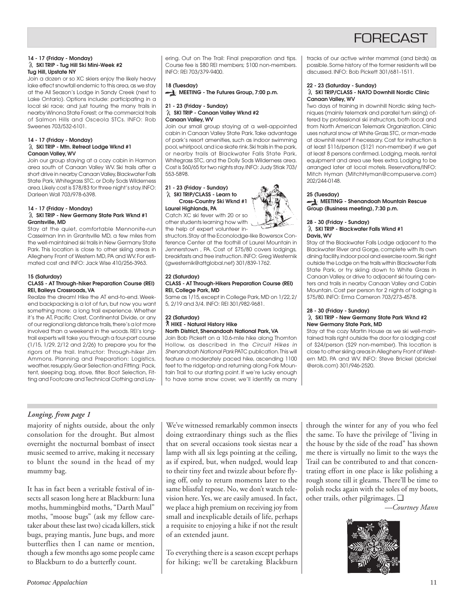## FORECAST

#### **14 - 17 (Friday - Monday) SKI TRIP - Tug Hill Ski Mini-Week #2 Tug Hill, Upstate NY**

Join a dozen or so XC skiers enjoy the likely heavy lake effect snowfall endemic to this area, as we stay at the All Season's Lodge in Sandy Creek (next to Lake Ontario). Options include: participating in a local ski race; and just touring the many trails in nearby Winona State Forest; or the commercial trails of Salmon Hills and Osceola STCs. INFO: Rob Sweenes 703/532-6101.

#### **14 - 17 (Friday - Monday) SKI TRIP - Mtn. Retreat Lodge Wknd #1 Canaan Valley, WV**

Join our group staying at a cozy cabin in Harmon area south of Canaan Valley WV. Ski trails after a short drive in nearby Canaan Valley, Blackwater Falls State Park, Whitegrass STC, or Dolly Sods Wilderness area. Likely cost is \$78/83 for three night's stay. INFO: Darleen Wall 703/978-6398.

## **14 - 17 (Friday - Monday)**

#### **SKI TRIP - New Germany State Park Wknd #1 Grantsville, MD**

Stay at the quiet, comfortable Mennonite-run Casselman Inn in Grantsville MD, a few miles from the well-maintained ski trails in New Germany State Park. This location is close to other skiing areas in Allegheny Front of Western MD, PA and WV. For estimated cost and INFO: Jack Wise 410/256-3963.

#### **15 (Saturday)**

#### **CLASS - AT Through-hiker Preparation Course (REI) REI, Baileys Crossroads, VA**

Realize the dream! Hike the AT end-to-end. Weekend backpacking is a lot of fun, but now you want something more: a long trail experience. Whether it's the AT, Pacific Crest, Continental Divide, or any of our regional long distance trails, there's a lot more involved than a weekend in the woods. REI's longtrail experts will take you through a four-part course (1/15, 1/29, 2/12 and 2/26) to prepare you for the rigors of the trail. Instructor: Through-hiker Jim Ammons. Planning and Preparation: Logistics, weather, resupply. Gear Selection and Fitting: Pack, tent, sleeping bag, stove, filter. Boot Selection, Fitting and Footcare and Technical Clothing and Layering. Out on The Trail: Final preparation and tips. Course fee is \$80 REI members; \$100 non-members. INFO: REI 703/379-9400.

## **18 (Tuesday) MEETING - The Futures Group, 7:00 p.m.**

#### **21 - 23 (Friday - Sunday) SKI TRIP - Canaan Valley Wknd #2 Canaan Valley, WV**

Join our small group staying at a well-appointed cabin in Canaan Valley State Park. Take advantage of park's resort amenities, such as indoor swimming pool, whirlpool, and ice skate rink. Ski trails in the park, or nearby trails at Blackwater Falls State Park, Whitegrass STC, and the Dolly Sods Wilderness area. Cost is \$60/65 for two nights stay. INFO: Judy Stiak 703/ 553-5898.

#### **21 - 23 (Friday - Sunday) SKI TRIP/CLASS - Learn to Cross-Country Ski Wknd #1**

**Laurel Highlands, PA** Catch XC ski fever with 20 or so other students learning how with the help of expert volunteer in-

structors. Stay at the Econolodge-like Bowersox Conference Center at the foothill of Laurel Mountain in Jennerstown , PA. Cost of \$75/80 covers lodgings, breakfasts and free instruction. INFO: Greg Westernik (gwesternik@attglobal.net) 301/839-1762.

#### **22 (Saturday) CLASS - AT Through-Hikers Preparation Course (REI) REI, College Park, MD**

Same as 1/15, except in College Park, MD on 1/22, 2/ 5, 2/19 and 3/4. INFO: REI 301/982-9681.

#### **22 (Saturday)** ` **HIKE - Natural History Hike North District, Shenandoah National Park, VA**

Join Bob Pickett on a 10.6-mile hike along Thornton Hollow, as described in the Circuit Hikes in Shenandoah National Park PATC publication. This will feature a moderately paced hike, ascending 1100 feet to the ridgetop and returning along Fork Mountain Trail to our starting point. If we're lucky enough to have some snow cover, we'll identify as many

tracks of our active winter mammal (and birds) as possible. Some history of the former residents will be discussed. INFO: Bob Pickett 301/681-1511.

#### **22 - 23 (Saturday - Sunday) SKI TRIP/CLASS - NATO Downhill Nordic Clinic Canaan Valley, WV**

Two days of training in downhill Nordic skiing techniques (mainly telemark and parallel turn skiing) offered by professional ski instructors, both local and from North American Telemark Organization. Clinic uses natural snow at White Grass STC, or man-made at downhill resort if necessary. Cost for instruction is at least \$116/person (\$121 non-member) if we get at least 8 persons confirmed. Lodging, meals, rental equipment and area use fees extra. Lodging to be arranged later at local motels. Reservations/INFO: Mitch Hyman (MitchHyman@compuserve.com) 202/244-0148.

#### **25 (Tuesday)**

#### **MEETING - Shenandoah Mountain Rescue Group (Business meeting), 7:30 p.m.**

#### **28 - 30 (Friday - Sunday) SKI TRIP - Blackwater Falls Wknd #1 Davis, WV**

Stay at the Blackwater Falls Lodge adjacent to the Blackwater River and Gorge, complete with its own dining facility, indoor pool and exercise room. Ski right outside the Lodge on the trails within Blackwater Falls State Park, or try skiing down to White Grass in Canaan Valley, or drive to adjacent ski touring centers and trails in nearby Canaan Valley and Cabin Mountain. Cost per person for 2 nights of lodging is \$75/80. INFO: Erma Cameron 703/273-4578.

#### **28 - 30 (Friday - Sunday) SKI TRIP - New Germany State Park Wknd #2 New Germany State Park, MD**

Stay at the cozy Martin House as we ski well-maintained trails right outside the door for a lodging cost of \$24/person (\$29 non-member). This location is close to other skiing areas in Allegheny Front of Western MD, PA and WV. INFO: Steve Brickel (sbrickel @erols.com) 301/946-2520.

### *Longing, from page 1*

majority of nights outside, about the only consolation for the drought. But almost overnight the nocturnal bombast of insect music seemed to arrive, making it necessary to blunt the sound in the head of my mummy bag.

It has in fact been a veritable festival of insects all season long here at Blackburn: luna moths, hummingbird moths, "Darth Maul" moths, "moose bugs" (ask my fellow caretaker about these last two) cicada killers, stick bugs, praying mantis, June bugs, and more butterflies then I can name or mention, though a few months ago some people came to Blackburn to do a butterfly count.

We've witnessed remarkably common insects doing extraordinary things such as the flies that on several occasions took siestas near a lamp with all six legs pointing at the ceiling, as if expired, but, when nudged, would leap to their tiny feet and twizzle about before flying off, only to return moments later to the same blissful repose. No, we don't watch television here. Yes, we are easily amused. In fact, we place a high premium on receiving joy from small and inexplicable details of life, perhaps a requisite to enjoying a hike if not the result of an extended jaunt.

To everything there is a season except perhaps for hiking; we'll be caretaking Blackburn

through the winter for any of you who feel the same. To have the privilege of "living in the house by the side of the road" has shown me there is virtually no limit to the ways the Trail can be contributed to and that concentrating effort in one place is like polishing a rough stone till it gleams. There'll be time to polish rocks again with the soles of my boots, other trails, other pilgrimages. ❑

*—Courtney Mann*

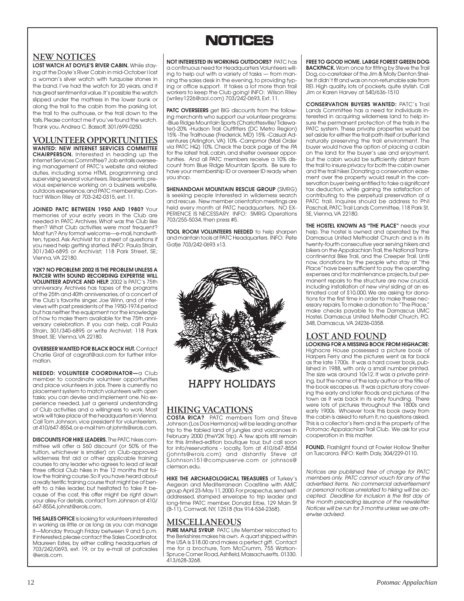## **NOTICES NOTICES**

## **NEW NOTICES**

**LOST WATCH AT DOYLE'S RIVER CABIN.** While staying at the Doyle's River Cabin in mid-October I lost a woman's silver watch with turquoise stones in the band. I've had the watch for 20 years, and it has great sentimental value. It's possible the watch slipped under the mattress in the lower bunk or along the trail to the cabin from the parking lot, the trail to the outhouse, or the trail down to the falls. Please contact me if you've found the watch. Thank you. Andrea C. Bassoff, 301/699-0250.

**VOLUNTEER OPPORTUNITIES WANTED: NEW INTERNET SERVICES COMMITTEE CHAIRPERSON.** Interested in heading up the Internet Services Committee? Job entails overseeing management of PATC's website and related duties, including some HTML programming and supervising several volunteers. Requirements: previous experience working on a business website, outdoors experience, and PATC membership. Contact Wilson Riley at 703-242-0315, ext. 11.

**JOINED PATC BETWEEN 1950 AND 1980?** Your memories of your early years in the Club are needed in PATC Archives. What was the Club like then? What Club activities were most frequent? Most fun? Any format welcome—e-mail, handwritten, typed. Ask Archivist for a sheet of questions if you need help getting started. INFO: Paula Strain, 301/340-6895 or Archivist; 118 Park Street, SE; Vienna, VA 22180.

**Y2K? NO PROBLEM! 2002 IS THE PROBLEM UNLESS A PATCER WITH SOUND RECORDING EXPERTISE WILL VOLUNTEER ADVICE AND HELP.** 2002 is PATC's 75th anniversary. Archives has tapes of the programs of the 25th and 40th anniversaries, of a concert of the Club's favorite singer, Joe Winn, and of interviews with past presidents of the 1950-1974 period but has neither the equipment nor the knowledge of how to make them available for the 75th anniversary celebration. If you can help, call Paula Strain, 301/340-6895 or write Archivist; 118 Park Street, SE; Vienna, VA 22180.

**OVERSEER WANTED FOR BLACK ROCK HUT.** Contact Charlie Graf at cagraf@aol.com for further information.

**NEEDED: VOLUNTEER COORDINATOR—**a Club member to coordinate volunteer opportunities and place volunteers in jobs. There is currently no placement system to match volunteers with open tasks; you can devise and implement one. No experience needed, just a general understanding of Club activities and a willingness to work. Most work will take place at the headquarters in Vienna. Call Tom Johnson, vice president for volunteerism, at 410/647-8554, or e-mail him at johnts@erols.com.

**DISCOUNTS FOR HIKE LEADERS.** The PATC hikes committee will offer a \$60 discount (or 50% of the tuition, whichever is smaller) on Club-approved wilderness first aid or other applicable training courses to any leader who agrees to lead at least three official Club hikes in the 12 months that follow the training course. So if you have heard about a really terrific training course that might be of benefit to a hike leader, but hesitated to take it because of the cost, this offer might be right down your alley. For details, contact Tom Johnson at 410/ 647-8554, johnst@erols.com.

**THE SALES OFFICE** is looking for volunteers interested in working as little or as long as you can manage it—Monday through Friday between 9 and 5 p.m. If interested, please contact the Sales Coordinator, Maureen Estes, by either calling headquarters at 703/242/0693, ext. 19, or by e-mail at patcsales @erols.com.

**NOT INTERESTED IN WORKING OUTDOORS?** PATC has a continuous need for Headquarters Volunteers willing to help out with a variety of tasks — from manning the sales desk in the evening, to providing typing or office support. It takes a lot more than trail workers to keep the Club going! INFO: Wilson Riley (wriley1226@aol.com) 703/242-0693, Ext. 11.

**PATC OVERSEERS** get BIG discounts from the following merchants who support our volunteer programs: -Blue Ridge Mountain Sports (Charlottesville/ Tidewater)-20% -Hudson Trail Outfitters (DC Metro Region) 15% -The Trailhouse (Frederick, MD) 15% -Casual Adventures (Arlington, VA) 10% -Campmor (Mail Order via PATC HQ) 10%. Check the back page of the PA for the latest trail, cabin, and shelter overseer opportunities. And all PATC members receive a 10% discount from Blue Ridge Mountain Sports. Be sure to have your membership ID or overseer ID ready when you shop.

**SHENANDOAH MOUNTAIN RESCUE GROUP** (SMRG) is seeking people interested in wilderness search and rescue. New member orientation meetings are held every month at PATC headquarters. NO EX-PERIENCE IS NECESSARY. INFO: SMRG Operations 703/255-5034, then press #5.

**TOOL ROOM VOLUNTEERS NEEDED** to help sharpen and maintain tools at PATC Headquarters. INFO: Pete Gatie 703/242-0693 x13.



## **HAPPY HOLIDAYS**

## **HIKING VACATIONS**

**COSTA RICA?** PATC members Tom and Steve Johnson (Los Dos Hermanos) will be leading another trip to the fabled land of jungles and volcanoes in February 2000 (theY2K Trip). A few spots still remain for this limited-edition boutique tour, but call soon for info/reservations - locally, Tom at 410/647-8554 (johnts@erols.com) and distantly Steve at SJohnson151@compuserve.com or johnsos@ clemson.edu.

**HIKE THE ARCHAEOLOGICAL TREASURES** of Turkey's Aegean and Mediterranean Coastline with AMC group April 23-May 11, 2000. For prospectus, send selfaddressed, stamped envelope to trip leader and long-time PATC member, Donald Erbe, 129 Main St (B-11), Cornwall, NY, 12518 (fax 914-534-2368).

## **MISCELLANEOUS**

**PURE MAPLE SYRUP.** PATC Life Member relocated to the Berkshires makes his own. A quart shipped within the USA is \$18.00 and makes a perfect gift. Contact me for a brochure, Tom McCrumm, 755 Watson-Spruce Corner Road, Ashfield, Massachusetts. 01330. 413/628-3268.

**FREE TO GOOD HOME. LARGE FOREST GREEN DOG BACKPACK.** Worn once for fitting by Steve the Trail Dog, co-caretaker of the Jim & Molly Denton Shelter. It didn't fit and was on non-returnable sale from REI. High quality, lots of pockets, quite stylish. Call Jim or Karen Harvey at 540/636-1510

**CONSERVATION BUYERS WANTED:** PATC's Trail Lands Committee has a need for individuals interested in acquiring wilderness land to help insure the permanent protection of the trails in the PATC system. These private properties would be set aside for either the trail path itself or buffer land naturally preserving the trail environment. The buyer would have the option of placing a cabin on the land for the buyer's use and enjoyment, but the cabin would be sufficiently distant from the trail to insure privacy for both the cabin owner and the trail hiker. Donating a conservation easement over the property would result in the conservation buyer being entitled to take a significant tax deduction, while gaining the satisfaction of contributing to the perpetual preservation of a PATC trail. Inquires should be address to Phil Paschall, PATC Trail Lands Committee, 118 Park St, SE, Vienna, VA 22180.

**THE HOSTEL KNOWN AS "THE PLACE"** needs your help. The hostel is owned and operated by the Damascus United Methodist Church and is in its twenty-fourth consecutive year serving hikers and bikers on the Appalachian Trail, the National Transcontinental Bike Trail, and the Creeper Trail. Until now, donations by the people who stay at "the Place" have been sufficient to pay the operating expenses and for maintenance projects, but permanent repairs to the structure are now crucial, including installation of new vinyl siding at an estimated cost of \$10,000. We are asking for donations for the first time in order to make these necessary repairs. To make a donation to "The Place," make checks payable to the Damascus UMC Hostel, Damascus United Methodist Church, P.O. 348, Damascus, VA 24236-0358.

## **LOST AND FOUND**

**LOOKING FOR A MISSING BOOK FROM HIGHACRE:** Highacre House possessed a picture book of Harpers Ferry and the pictures went as far back as the late 1700s. It was a hard cover book, published in 1988, with only a small number printed. The size was around 10x12. It was a private printing, but the name of the lady author or the title of the book escapes us. It was a picture story covering the early and later floods and pictures of the town as it was back in its early founding. There were lots of pictures throughout the 1800s and early 1900s. Whoever took this book away from the cabin is asked to return it, no questions asked. This is a collector's item and is the property of the Potomac Appalachian Trail Club. We ask for your cooperation in this matter.

**FOUND.** Flashlight found at Fowler Hollow Shelter on Tuscarora. INFO: Keith Daly, 304/229-0110.

Notices are published free of charge for PATC members only. PATC cannot vouch for any of the advertised items. No commercial advertisement or personal notices unrelated to hiking will be accepted. Deadline for inclusion is the first day of the month preceding issuance of the newsletter. Notices will be run for 3 months unless we are otherwise advised.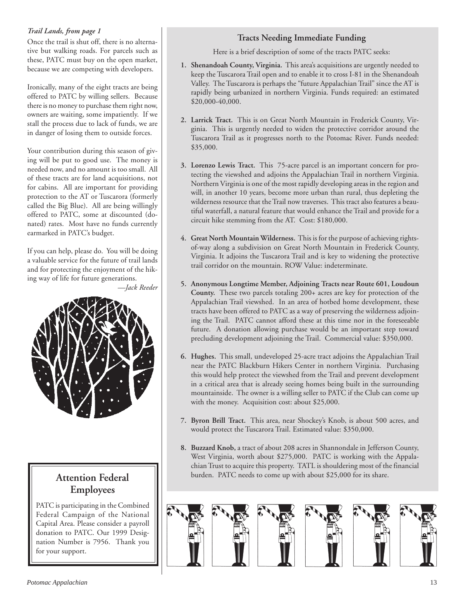### *Trail Lands, from page 1*

Once the trail is shut off, there is no alternative but walking roads. For parcels such as these, PATC must buy on the open market, because we are competing with developers.

Ironically, many of the eight tracts are being offered to PATC by willing sellers. Because there is no money to purchase them right now, owners are waiting, some impatiently. If we stall the process due to lack of funds, we are in danger of losing them to outside forces.

Your contribution during this season of giving will be put to good use. The money is needed now, and no amount is too small. All of these tracts are for land acquisitions, not for cabins. All are important for providing protection to the AT or Tuscarora (formerly called the Big Blue). All are being willingly offered to PATC, some at discounted (donated) rates. Most have no funds currently earmarked in PATC's budget.

If you can help, please do. You will be doing a valuable service for the future of trail lands and for protecting the enjoyment of the hiking way of life for future generations.

*—Jack Reeder*



## **Attention Federal Employees**

PATC is participating in the Combined Federal Campaign of the National Capital Area. Please consider a payroll donation to PATC. Our 1999 Designation Number is 7956. Thank you for your support.

### **Tracts Needing Immediate Funding**

Here is a brief description of some of the tracts PATC seeks:

- **1. Shenandoah County, Virginia.** This area's acquisitions are urgently needed to keep the Tuscarora Trail open and to enable it to cross I-81 in the Shenandoah Valley. The Tuscarora is perhaps the "future Appalachian Trail" since the AT is rapidly being urbanized in northern Virginia. Funds required: an estimated \$20,000-40,000.
- **2. Larrick Tract.** This is on Great North Mountain in Frederick County, Virginia. This is urgently needed to widen the protective corridor around the Tuscarora Trail as it progresses north to the Potomac River. Funds needed: \$35,000.
- **3. Lorenzo Lewis Tract.** This 75-acre parcel is an important concern for protecting the viewshed and adjoins the Appalachian Trail in northern Virginia. Northern Virginia is one of the most rapidly developing areas in the region and will, in another 10 years, become more urban than rural, thus depleting the wilderness resource that the Trail now traverses. This tract also features a beautiful waterfall, a natural feature that would enhance the Trail and provide for a circuit hike stemming from the AT. Cost: \$180,000.
- **4. Great North Mountain Wilderness.** This is for the purpose of achieving rightsof-way along a subdivision on Great North Mountain in Frederick County, Virginia. It adjoins the Tuscarora Trail and is key to widening the protective trail corridor on the mountain. ROW Value: indeterminate.
- **5. Anonymous Longtime Member, Adjoining Tracts near Route 601, Loudoun County.** These two parcels totaling 200+ acres are key for protection of the Appalachian Trail viewshed. In an area of hotbed home development, these tracts have been offered to PATC as a way of preserving the wilderness adjoining the Trail. PATC cannot afford these at this time nor in the foreseeable future. A donation allowing purchase would be an important step toward precluding development adjoining the Trail. Commercial value: \$350,000.
- **6. Hughes.** This small, undeveloped 25-acre tract adjoins the Appalachian Trail near the PATC Blackburn Hikers Center in northern Virginia. Purchasing this would help protect the viewshed from the Trail and prevent development in a critical area that is already seeing homes being built in the surrounding mountainside. The owner is a willing seller to PATC if the Club can come up with the money. Acquisition cost: about \$25,000.
- **7. Byron Brill Tract.** This area, near Shockey's Knob, is about 500 acres, and would protect the Tuscarora Trail. Estimated value: \$350,000.
- **8. Buzzard Knob,** a tract of about 208 acres in Shannondale in Jefferson County, West Virginia, worth about \$275,000. PATC is working with the Appalachian Trust to acquire this property. TATL is shouldering most of the financial burden. PATC needs to come up with about \$25,000 for its share.

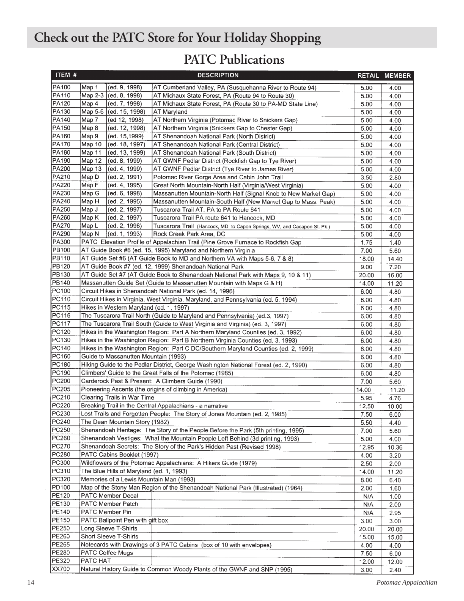## **Check out the PATC Store for Your Holiday Shopping**

## **PATC Publications**

| ITEM #       |                                                                                                    |                                                                             | <b>DESCRIPTION</b>                                                                   |       | RETAIL MEMBER |  |
|--------------|----------------------------------------------------------------------------------------------------|-----------------------------------------------------------------------------|--------------------------------------------------------------------------------------|-------|---------------|--|
| PA100        | Map 1                                                                                              | (ed. 9, 1998)                                                               | AT Cumberland Valley, PA (Susquehanna River to Route 94)                             | 5.00  | 4.00          |  |
| <b>PA110</b> | Map 2-3                                                                                            | (ed. 8, 1998)                                                               | AT Michaux State Forest, PA (Route 94 to Route 30)                                   | 5.00  | 4.00          |  |
| PA120        | Map 4                                                                                              | (ed. 7, 1998)<br>AT Michaux State Forest, PA (Route 30 to PA-MD State Line) |                                                                                      | 5.00  | 4.00          |  |
| PA130        |                                                                                                    | Map 5-6 (ed. 15, 1998)<br>AT Maryland                                       |                                                                                      | 5.00  | 4.00          |  |
| PA140        | Map 7                                                                                              | (ed 12, 1998)<br>AT Northern Virginia (Potomac River to Snickers Gap)       |                                                                                      | 5.00  | 4.00          |  |
| PA150        | Map 8                                                                                              | (ed. 12, 1998)                                                              | AT Northern Virginia (Snickers Gap to Chester Gap)                                   | 5.00  | 4.00          |  |
| PA160        | Map 9                                                                                              | (ed. 15,1999)                                                               | AT Shenandoah National Park (North District)                                         | 5.00  | 4.00          |  |
| PA170        | Map 10                                                                                             | (ed. 18, 1997)                                                              | AT Shenandoah National Park (Central District)                                       | 5.00  | 4.00          |  |
| PA180        | Map 11                                                                                             | (ed. 13, 1999)                                                              | AT Shenandoah National Park (South District)                                         | 5.00  | 4.00          |  |
| PA190        | Map 12                                                                                             | (ed. 8, 1999)                                                               | AT GWNF Pedlar District (Rockfish Gap to Tye River)                                  | 5.00  | 4.00          |  |
| PA200        | Map 13                                                                                             | (ed. 4, 1999)                                                               | AT GWNF Pedlar District (Tye River to James River)                                   | 5.00  | 4.00          |  |
| PA210        | Map D                                                                                              | (ed. 2, 1991)                                                               | Potomac River Gorge Area and Cabin John Trail                                        | 3.50  | 2.80          |  |
| PA220        | Map F                                                                                              | (ed. 4, 1995)                                                               | Great North Mountain-North Half (Virginia/West Virginia)                             | 5.00  | 4.00          |  |
| PA230        | Map G                                                                                              | (ed. 6, 1998)                                                               | Massanutten Mountain-North Half (Signal Knob to New Market Gap)                      | 5.00  | 4.00          |  |
| PA240        | Map H                                                                                              | (ed. 2, 1995)                                                               | Massanutten Mountain-South Half (New Market Gap to Mass. Peak)                       | 5.00  | 4.00          |  |
| PA250        | Map J                                                                                              | (ed. 2, 1997)                                                               | Tuscarora Trail AT, PA to PA Route 641                                               | 5.00  | 4.00          |  |
| PA260        | Map K                                                                                              | (ed. 2, 1997)                                                               | Tuscarora Trail PA route 641 to Hancock, MD                                          | 5.00  | 4.00          |  |
| PA270        | Map L                                                                                              | (ed. 2, 1996)                                                               | Tuscarora Trail (Hancock, MD, to Capon Springs, WV, and Cacapon St. Pk.)             | 5.00  | 4.00          |  |
| PA290        | Map N                                                                                              | (ed. 1, 1993)                                                               | Rock Creek Park Area, DC                                                             | 5.00  | 4.00          |  |
| PA300        |                                                                                                    |                                                                             | PATC Elevation Profile of Appalachian Trail (Pine Grove Furnace to Rockfish Gap      | 1.75  | 1.40          |  |
| PB100        |                                                                                                    |                                                                             | AT Guide Book #6 (ed. 15, 1995) Maryland and Northern Virginia                       | 7.00  | 5.60          |  |
| PB110        |                                                                                                    |                                                                             | AT Guide Set #6 (AT Guide Book to MD and Northern VA with Maps 5-6, 7 & 8)           | 18.00 | 14.40         |  |
| <b>PB120</b> |                                                                                                    |                                                                             | AT Guide Book #7 (ed. 12, 1999) Shenandoah National Park                             | 9.00  | 7.20          |  |
| PB130        |                                                                                                    |                                                                             | AT Guide Set #7 (AT Guide Book to Shenandoah National Park with Maps 9, 10 & 11)     | 20.00 | 16.00         |  |
| PB140        |                                                                                                    |                                                                             | Massanutten Guide Set (Guide to Massanutten Mountain with Maps G & H)                | 14.00 | 11.20         |  |
| PC100        |                                                                                                    |                                                                             | Circuit Hikes in Shenandoah National Park (ed. 14, 1996)                             | 6.00  | 4.80          |  |
| PC110        |                                                                                                    |                                                                             | Circuit Hikes in Virginia, West Virginia, Maryland, and Pennsylvania (ed. 5, 1994)   | 6.00  | 4.80          |  |
| PC115        |                                                                                                    | Hikes in Western Maryland (ed. 1, 1997)                                     |                                                                                      | 6.00  | 4.80          |  |
| PC116        | The Tuscarora Trail North (Guide to Maryland and Pennsylvania) (ed.3, 1997)<br>6.00<br>4.80        |                                                                             |                                                                                      |       |               |  |
| <b>PC117</b> | The Tuscarora Trail South (Guide to West Virginia and Virginia) (ed. 3, 1997)<br>6.00<br>4.80      |                                                                             |                                                                                      |       |               |  |
| PC120        | Hikes in the Washington Region: Part A Northern Maryland Counties (ed. 3, 1992)<br>4.80<br>6.00    |                                                                             |                                                                                      |       |               |  |
| PC130        | Hikes in the Washington Region: Part B Northern Virginia Counties (ed. 3, 1993)<br>6.00<br>4.80    |                                                                             |                                                                                      |       |               |  |
| PC140        | Hikes in the Washington Region: Part C DC/Southern Maryland Counties (ed. 2, 1999)<br>6.00<br>4.80 |                                                                             |                                                                                      |       |               |  |
| PC160        | Guide to Massanutten Mountain (1993)<br>6.00                                                       |                                                                             |                                                                                      |       |               |  |
| PC180        |                                                                                                    |                                                                             | Hiking Guide to the Pedlar District, George Washington National Forest (ed. 2, 1990) | 6.00  | 4.80<br>4.80  |  |
| PC190        |                                                                                                    |                                                                             | Climbers' Guide to the Great Falls of the Potomac (1985)                             | 6.00  | 4.80          |  |
| PC200        | Carderock Past & Present: A Climbers Guide (1990)<br>7.00<br>5.60                                  |                                                                             |                                                                                      |       |               |  |
| PC205        | Pioneering Ascents (the origins of climbing in America)<br>14.00<br>11.20                          |                                                                             |                                                                                      |       |               |  |
| PC210        | Clearing Trails in War Time<br>5.95<br>4.76                                                        |                                                                             |                                                                                      |       |               |  |
| <b>PC220</b> | Breaking Trail in the Central Appalachians - a narrative<br>12.50<br>10.00                         |                                                                             |                                                                                      |       |               |  |
| <b>PC230</b> | Lost Trails and Forgotten People: The Story of Jones Mountain (ed. 2, 1985)<br>7.50<br>6.00        |                                                                             |                                                                                      |       |               |  |
| PC240        | The Dean Mountain Story (1982)<br>5.50<br>4.40                                                     |                                                                             |                                                                                      |       |               |  |
| PC250        | Shenandoah Heritage: The Story of the People Before the Park (5th printing, 1995)<br>7.00<br>5.60  |                                                                             |                                                                                      |       |               |  |
| PC260        | Shenandoah Vestiges: What the Mountain People Left Behind (3d printing, 1993)<br>5.00<br>4.00      |                                                                             |                                                                                      |       |               |  |
| PC270        | Shenandoah Secrets: The Story of the Park's Hidden Past (Revised 1998)<br>12.95<br>10.36           |                                                                             |                                                                                      |       |               |  |
| PC280        |                                                                                                    | PATC Cabins Booklet (1997)                                                  |                                                                                      | 4.00  | 3.20          |  |
| PC300        |                                                                                                    |                                                                             | Wildflowers of the Potomac Appalachians: A Hikers Guide (1979)                       | 2.50  | 2.00          |  |
| PC310        |                                                                                                    | The Blue Hills of Maryland (ed. 1, 1993)                                    |                                                                                      | 14.00 | 11.20         |  |
| PC320        |                                                                                                    | Memories of a Lewis Mountain Man (1993)                                     |                                                                                      | 8.00  | 6.40          |  |
| PD100        |                                                                                                    |                                                                             | Map of the Stony Man Region of the Shenandoah National Park (Illustrated) (1964)     | 2.00  | 1.60          |  |
| <b>PE120</b> |                                                                                                    | PATC Member Decal                                                           |                                                                                      | N/A   | 1.00          |  |
| PE130        |                                                                                                    | PATC Member Patch                                                           |                                                                                      | N/A   | 2.00          |  |
| PE140        | PATC Member Pin                                                                                    |                                                                             |                                                                                      | N/A   | 2.95          |  |
| PE150        |                                                                                                    | PATC Ballpoint Pen with gift box                                            |                                                                                      | 3.00  | 3.00          |  |
| <b>PE250</b> |                                                                                                    | Long Sleeve T-Shirts                                                        |                                                                                      | 20.00 | 20.00         |  |
| PE260        |                                                                                                    | Short Sleeve T-Shirts                                                       |                                                                                      | 15.00 | 15.00         |  |
| PE265        |                                                                                                    |                                                                             | Notecards with Drawings of 3 PATC Cabins (box of 10 with envelopes)                  | 4.00  | 4.00          |  |
| PE280        |                                                                                                    | PATC Coffee Mugs                                                            |                                                                                      | 7.50  | 6.00          |  |
| PE320        | PATC HAT                                                                                           |                                                                             |                                                                                      | 12.00 | 12.00         |  |
| XX700        |                                                                                                    |                                                                             | Natural History Guide to Common Woody Plants of the GWNF and SNP (1995)              | 3.00  | 2.40          |  |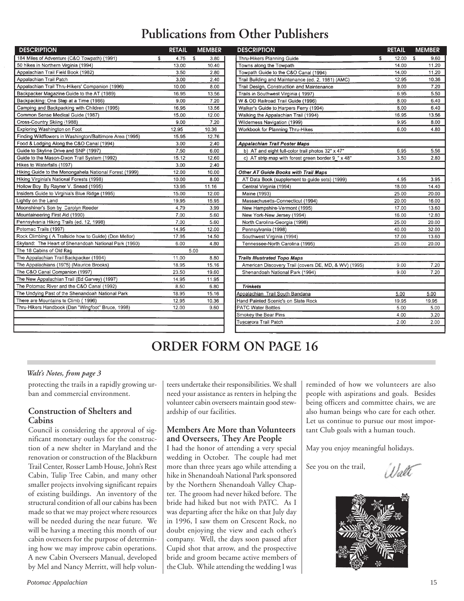## **Publications from Other Publishers**

| <b>DESCRIPTION</b>                                      | <b>RETAIL</b> | <b>MEMBER</b> | <b>DESCRIPTION</b>                                    | <b>RETAIL</b> | <b>MEMBER</b>    |
|---------------------------------------------------------|---------------|---------------|-------------------------------------------------------|---------------|------------------|
| 184 Miles of Adventure (C&O Towpath) (1991)             | \$<br>4.75    | -\$<br>3.80   | Thru-Hikers Planning Guide                            | \$<br>12.00   | S<br>9.60        |
| 50 hikes in Northern Virginia (1994)                    | 13.00         | 10.40         | Towns along the Towpath                               | 14.00         | 11.20            |
| Appalachian Trail Field Book (1982)                     | 3.50          | 2.80          | Towpath Guide to the C&O Canal (1994)                 | 14.00         | 11.20            |
| Appalachian Trail Patch                                 | 3.00          | 2.40          | Trail Building and Maintenance (ed. 2, 1981) (AMC)    | 12.95         | 10.36            |
| Appalachian Trail Thru-Hikers' Companion (1996)         | 10.00         | 8.00          | Trail Design, Construction and Maintenance            | 9.00          | 7.20             |
| Backpacker Magazine Guide to the AT (1989)              | 16.95         | 13.56         | Trails in Southwest Virginia (1997)                   | 6.95          | 5.5 <sub>0</sub> |
| Backpacking: One Step at a Time (1986)                  | 9.00          | 7.20          | W & OD Railroad Trail Guide (1996)                    | 8.00          | 6.40             |
| Camping and Backpacking with Children (1995)            | 16.95         | 13.56         | Walker's Guide to Harpers Ferry (1994)                | 8.00          | 6.40             |
| Common Sense Medical Guide (1987)                       | 15.00         | 12.00         | Walking the Appalachian Trail (1994)                  | 16.95         | 13.56            |
| Cross-Country Skiing (1988)                             | 9.00          | 7.20          | Wilderness Navigation (1999)                          | 9.95          | 8.00             |
| Exploring Washington on Foot                            | 12.95         | 10.36         | Workbook for Planning Thru-Hikes                      | 6.00          | 4.80             |
| Finding Wildflowers in Washington/Baltimore Area (1995) | 15.95         | 12.76         |                                                       |               |                  |
| Food & Lodging Along the C&O Canal (1994)               | 3.00          | 2.40          | <b>Appalachian Trail Poster Maps</b>                  |               |                  |
| Guide to Skyline Drive and SNP (1997)                   | 7.50          | 6.00          | b) AT and eight full-color trail photos 32" x 47"     | 6.95          | 5.56             |
| Guide to the Mason-Dixon Trail System (1992)            | 15.12         | 12.60         | c) AT strip map with forest green border 9_" x 48"    | 3.50          | 2.80             |
| Hikes to Waterfalls (1997)                              | 3.00          | 2.40          |                                                       |               |                  |
| Hiking Guide to the Monongahela National Forest (1999)  | 12.00         | 10.00         | Other AT Guide Books with Trail Maps                  |               |                  |
| Hiking Virginia's National Forests (1998)               | 10.00         | 8.00          | AT Data Book (supplement to guide sets) (1999)        | 4.95          | 3.95             |
| Hollow Boy By Rayner V. Snead (1995)                    | 13.95         | 11.16         | Central Virginia (1994)                               | 18.00         | 14.40            |
| Insiders Guide to Virginia's Blue Ridge (1995)          | 15.00         | 12.00         | Maine (1993)                                          | 25.00         | 20.00            |
| Lightly on the Land                                     | 19.95         | 15.95         | Massachusetts-Connecticut (1994)                      | 20.00         | 16.00            |
| Moonshiner's Son by Carolyn Reeder                      | 4.79          | 3.99          | New Hampshire-Vermont (1995)                          | 17.00         | 13.60            |
| Mountaineering First Aid (1990)                         | 7.00          | 5.60          | New York-New Jersey (1994)                            | 16.00         | 12.80            |
| Pennsylvania Hiking Trails (ed. 12, 1998)               | 7.00          | 5.60          | North Carolina-Georgia (1998)                         | 25.00         | 20.00            |
| Potomac Trails (1997)                                   | 14.95         | 12.00         | Pennsylvania (1998)                                   | 40.00         | 32.00            |
| Rock Climbing (A Trailside how to Guide) (Don Mellor)   | 17.95         | 14.50         | Southwest Virginia (1994)                             | 17.00         | 13.60            |
| Skyland: The Heart of Shenandoah National Park (1960)   | 6.00          | 4.80          | Tennessee-North Carolina (1995)                       | 25.00         | 20.00            |
| The 18 Cabins of Old Rag                                |               | 5.00          |                                                       |               |                  |
| The Appalachian Trail Backpacker (1994)                 | 11.00         | 8.80          | <b>Trails Illustrated Topo Maps</b>                   |               |                  |
| The Appalachians (1975) (Maurice Brooks)                | 18.95         | 15.16         | American Discovery Trail (covers DE, MD, & WV) (1995) | 9.00          | 7.20             |
| The C&O Canal Companion (1997)                          | 23.50         | 19.60         | Shenandoah National Park (1994)                       | 9.00          | 7.20             |
| The New Appalachian Trail (Ed Garvey) (1997)            | 14.95         | 11.95         |                                                       |               |                  |
| The Potomac River and the C&O Canal (1992)              | 8.50          | 6.80          | <b>Trinkets</b>                                       |               |                  |
| The Undying Past of the Shenandoah National Park        | 18.95         | 15.16         | Appalachian Trail South Bandana                       | 5.00          | 5.00             |
| There are Mountains to Climb (1996)                     | 12.95         | 10.36         | Hand Painted Scenic's on Slate Rock                   | 19.95         | 19.95            |
| Thru-Hikers Handbook (Dan "Wingfoot" Bruce, 1998)       | 12.00         | 9.60          | <b>PATC Water Bottles</b>                             | 5.00          | 5.00             |
|                                                         |               |               | Smokey the Bear Pins                                  | 4.00          | 3.2C             |
|                                                         |               |               | Tuscarora Trail Patch                                 | 2.00          | 2.0C             |
|                                                         |               |               |                                                       |               |                  |

| <b>DESCRIPTION</b>                                    | <b>RETAIL</b> | <b>MEMBER</b> |
|-------------------------------------------------------|---------------|---------------|
| Thru-Hikers Planning Guide                            | \$<br>12.00   | S.<br>9.60    |
| Towns along the Towpath                               | 14.00         | 11.20         |
| Towpath Guide to the C&O Canal (1994)                 | 14.00         | 11.20         |
| Trail Building and Maintenance (ed. 2, 1981) (AMC)    | 12.95         | 10.36         |
| Trail Design, Construction and Maintenance            | 9.00          | 7.20          |
| Trails in Southwest Virginia (1997)                   | 6.95          | 5.50          |
| W & OD Railroad Trail Guide (1996)                    | 8.00          | 6.40          |
| Walker's Guide to Harpers Ferry (1994)                | 8.00          | 6.40          |
| Walking the Appalachian Trail (1994)                  | 16.95         | 13.56         |
| Wilderness Navigation (1999)                          | 9.95          | 8.00          |
| Workbook for Planning Thru-Hikes                      | 6.00          | 4.80          |
| <b>Appalachian Trail Poster Maps</b>                  |               |               |
| b) AT and eight full-color trail photos 32" x 47"     | 6.95          | 5.56          |
| c) AT strip map with forest green border 9_" x 48"    | 3.50          | 2.80          |
| Other AT Guide Books with Trail Maps                  |               |               |
| AT Data Book (supplement to guide sets) (1999)        | 4.95          | 3.95          |
| Central Virginia (1994)                               | 18.00         | 14.40         |
| Maine (1993)                                          | 25.00         | 20.00         |
| Massachusetts-Connecticut (1994)                      | 20.00         | 16.00         |
| New Hampshire-Vermont (1995)                          | 17.00         | 13.60         |
| New York-New Jersey (1994)                            | 16.00         | 12.80         |
| North Carolina-Georgia (1998)                         | 25.00         | 20.00         |
| Pennsylvania (1998)                                   | 40.00         | 32.00         |
| Southwest Virginia (1994)                             | 17.00         | 13.60         |
| Tennessee-North Carolina (1995)                       | 25.00         | 20.00         |
| <b>Trails Illustrated Topo Maps</b>                   |               |               |
| American Discovery Trail (covers DE, MD, & WV) (1995) | 9.00          | 7.20          |
| Shenandoah National Park (1994)                       | 9.00          | 7.20          |
| <b>Trinkets</b>                                       |               |               |
| Appalachian Trail South Bandana                       | 5.00          | 5.00          |
| Hand Painted Scenic's on Slate Rock                   | 19.95         | 19.95         |
| <b>PATC Water Bottles</b>                             | 5.00          | 5.00          |
| Smokey the Bear Pins                                  | 4.00          | 3.20          |
| <b>Tuscarora Trail Patch</b>                          | 2.00          | 2.00          |

## **ORDER FORM ON PAGE 16**

### *Walt's Notes, from page 3*

protecting the trails in a rapidly growing urban and commercial environment.

### **Construction of Shelters and Cabins**

Council is considering the approval of significant monetary outlays for the construction of a new shelter in Maryland and the renovation or construction of the Blackburn Trail Center, Rosser Lamb House, John's Rest Cabin, Tulip Tree Cabin, and many other smaller projects involving significant repairs of existing buildings. An inventory of the structural condition of all our cabins has been made so that we may project where resources will be needed during the near future. We will be having a meeting this month of our cabin overseers for the purpose of determining how we may improve cabin operations. A new Cabin Overseers Manual, developed by Mel and Nancy Merritt, will help volun-

teers undertake their responsibilities. We shall need your assistance as renters in helping the volunteer cabin overseers maintain good stewardship of our facilities.

### **Members Are More than Volunteers and Overseers, They Are People**

I had the honor of attending a very special wedding in October. The couple had met more than three years ago while attending a hike in Shenandoah National Park sponsored by the Northern Shenandoah Valley Chapter. The groom had never hiked before. The bride had hiked but not with PATC. As I was departing after the hike on that July day in 1996, I saw them on Crescent Rock, no doubt enjoying the view and each other's company. Well, the days soon passed after Cupid shot that arrow, and the prospective bride and groom became active members of the Club. While attending the wedding I was reminded of how we volunteers are also people with aspirations and goals. Besides being officers and committee chairs, we are also human beings who care for each other. Let us continue to pursue our most important Club goals with a human touch.

May you enjoy meaningful holidays.

See you on the trail,

Wall

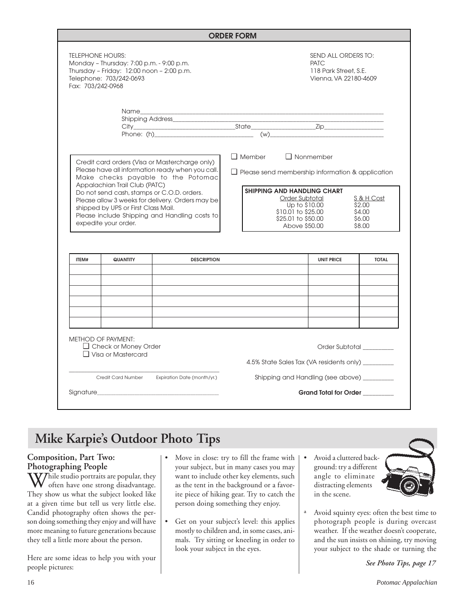|                                                                                                                                                                                                                                                                                                                                                                                             |                                                                                       |                                                                                                                                                                                                                                                                                          | <b>ORDER FORM</b> |                                                                                |                         |  |  |
|---------------------------------------------------------------------------------------------------------------------------------------------------------------------------------------------------------------------------------------------------------------------------------------------------------------------------------------------------------------------------------------------|---------------------------------------------------------------------------------------|------------------------------------------------------------------------------------------------------------------------------------------------------------------------------------------------------------------------------------------------------------------------------------------|-------------------|--------------------------------------------------------------------------------|-------------------------|--|--|
| <b>TELEPHONE HOURS:</b><br>Monday - Thursday: 7:00 p.m. - 9:00 p.m.<br>Thursday - Friday: 12:00 noon - 2:00 p.m.<br>Telephone: 703/242-0693<br>Fax: 703/242-0968                                                                                                                                                                                                                            |                                                                                       |                                                                                                                                                                                                                                                                                          |                   | SEND ALL ORDERS TO:<br>PATC.<br>118 Park Street, S.E.<br>Vienna, VA 22180-4609 |                         |  |  |
|                                                                                                                                                                                                                                                                                                                                                                                             |                                                                                       | Shipping Address____________                                                                                                                                                                                                                                                             |                   |                                                                                |                         |  |  |
| Credit card orders (Visa or Mastercharge only)<br>Please have all information ready when you call.<br>Make checks payable to the Potomac<br>Appalachian Trail Club (PATC)<br>Do not send cash, stamps or C.O.D. orders.<br>Please allow 3 weeks for delivery. Orders may be<br>shipped by UPS or First Class Mail.<br>Please include Shipping and Handling costs to<br>expedite your order. |                                                                                       | $\Box$ Member<br>$\Box$ Nonmember<br>$\Box$ Please send membership information & application<br><b>SHIPPING AND HANDLING CHART</b><br>Order Subtotal<br>S & H Cost<br>Up to \$10,00<br>\$2.00<br>\$10.01 to \$25.00<br>\$4.00<br>\$25.01 to \$50.00<br>\$6.00<br>Above \$50.00<br>\$8,00 |                   |                                                                                |                         |  |  |
|                                                                                                                                                                                                                                                                                                                                                                                             |                                                                                       |                                                                                                                                                                                                                                                                                          |                   |                                                                                |                         |  |  |
| ITFM#                                                                                                                                                                                                                                                                                                                                                                                       | <b>QUANTITY</b>                                                                       | <b>DESCRIPTION</b>                                                                                                                                                                                                                                                                       |                   | <b>UNIT PRICE</b>                                                              | <b>TOTAL</b>            |  |  |
|                                                                                                                                                                                                                                                                                                                                                                                             |                                                                                       |                                                                                                                                                                                                                                                                                          |                   |                                                                                |                         |  |  |
|                                                                                                                                                                                                                                                                                                                                                                                             | <b>METHOD OF PAYMENT:</b><br>$\Box$ Check or Money Order<br>$\Box$ Visa or Mastercard |                                                                                                                                                                                                                                                                                          |                   | 4.5% State Sales Tax (VA residents only) ________                              |                         |  |  |
|                                                                                                                                                                                                                                                                                                                                                                                             | <b>Credit Card Number</b>                                                             | Expiration Date (month/yr.)                                                                                                                                                                                                                                                              |                   | Shipping and Handling (see above) _________                                    | Order Subtotal ________ |  |  |

## **Mike Karpie's Outdoor Photo Tips**

## **Composition, Part Two: Photographing People**

While studio portraits are popular, they often have one strong disadvantage. They show us what the subject looked like at a given time but tell us very little else. Candid photography often shows the person doing something they enjoy and will have more meaning to future generations because they tell a little more about the person.

Here are some ideas to help you with your people pictures:

- Move in close: try to fill the frame with your subject, but in many cases you may want to include other key elements, such as the tent in the background or a favorite piece of hiking gear. Try to catch the person doing something they enjoy.
- Get on your subject's level: this applies mostly to children and, in some cases, animals. Try sitting or kneeling in order to look your subject in the eyes.
- Avoid a cluttered background: try a different angle to eliminate distracting elements in the scene.



ª Avoid squinty eyes: often the best time to photograph people is during overcast weather. If the weather doesn't cooperate, and the sun insists on shining, try moving your subject to the shade or turning the

*See Photo Tips, page 17*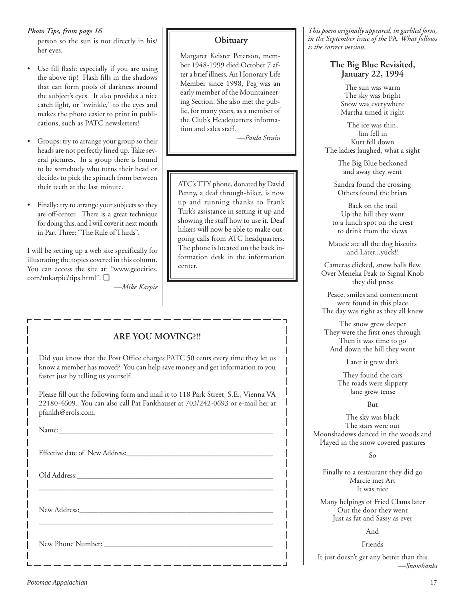*Photo Tips, from page 16*

person so the sun is not directly in his/ her eyes.

- Use fill flash: especially if you are using the above tip! Flash fills in the shadows that can form pools of darkness around the subject's eyes. It also provides a nice catch light, or "twinkle," to the eyes and makes the photo easier to print in publications, such as PATC newsletters!
- Groups: try to arrange your group so their heads are not perfectly lined up. Take several pictures. In a group there is bound to be somebody who turns their head or decides to pick the spinach from between their teeth at the last minute.
- Finally: try to arrange your subjects so they are off-center. There is a great technique for doing this, and I will cover it next month in Part Three: "The Rule of Thirds".

I will be setting up a web site specifically for illustrating the topics covered in this column. You can access the site at: "www.geocities. com/mkarpie/tips.html". ❑

*—Mike Karpie*

### **Obituary**

Margaret Keister Peterson, member 1948-1999 died October 7 after a brief illness. An Honorary Life Member since 1998, Peg was an early member of the Mountaineering Section. She also met the public, for many years, as a member of the Club's Headquarters information and sales staff.

*—Paula Strain*

ATC's TTY phone, donated by David Penny, a deaf through-hiker, is now up and running thanks to Frank Turk's assistance in setting it up and showing the staff how to use it. Deaf hikers will now be able to make outgoing calls from ATC headquarters. The phone is located on the back information desk in the information center.

## **ARE YOU MOVING?!!**

Did you know that the Post Office charges PATC 50 cents every time they let us know a member has moved? You can help save money and get information to you faster just by telling us yourself.

Please fill out the following form and mail it to 118 Park Street, S.E., Vienna VA 22180-4609. You can also call Pat Fankhauser at 703/242-0693 or e-mail her at pfankh@erols.com.

\_\_\_\_\_\_\_\_\_\_\_\_\_\_\_\_\_\_\_\_\_\_\_\_\_\_\_\_\_\_\_\_\_\_\_\_\_\_\_\_\_\_\_\_\_\_\_\_\_\_\_\_\_\_\_\_\_\_\_\_\_\_

\_\_\_\_\_\_\_\_\_\_\_\_\_\_\_\_\_\_\_\_\_\_\_\_\_\_\_\_\_\_\_\_\_\_\_\_\_\_\_\_\_\_\_\_\_\_\_\_\_\_\_\_\_\_\_\_\_\_\_\_\_\_

Name:\_\_\_\_\_\_\_\_\_\_\_\_\_\_\_\_\_\_\_\_\_\_\_\_\_\_\_\_\_\_\_\_\_\_\_\_\_\_\_\_\_\_\_\_\_\_\_\_\_\_\_\_\_\_\_\_\_

Effective date of New Address:

Old Address:

New Address:

New Phone Number: \_\_\_\_\_\_\_\_\_\_\_\_\_\_\_\_\_\_\_\_\_\_\_\_\_\_\_\_\_\_\_\_\_\_\_\_\_\_\_\_\_\_\_\_

*This poem originally appeared, in garbled form, in the September issue of the* PA*. What follows is the correct version.*

### **The Big Blue Revisited, January 22, 1994**

The sun was warm The sky was bright Snow was everywhere Martha timed it right

The ice was thin, Jim fell in Kurt fell down The ladies laughed, what a sight

> The Big Blue beckoned and away they went

Sandra found the crossing Others found the briars

Back on the trail Up the hill they went to a lunch spot on the crest to drink from the views

Maude ate all the dog biscuits and Later...yuck!!

Cameras clicked, snow balls flew Over Meneka Peak to Signal Knob they did press

Peace, smiles and contentment were found in this place The day was right as they all knew

The snow grew deeper They were the first ones through Then it was time to go And down the hill they went

Later it grew dark

They found the cars The roads were slippery Jane grew tense

But

The sky was black The stars were out Moonshadows danced in the woods and Played in the snow covered pastures

So

Finally to a restaurant they did go Marcie met Art It was nice

Many helpings of Fried Clams later Out the door they went Just as fat and Sassy as ever

And

Friends

It just doesn't get any better than this *—Snowbanks*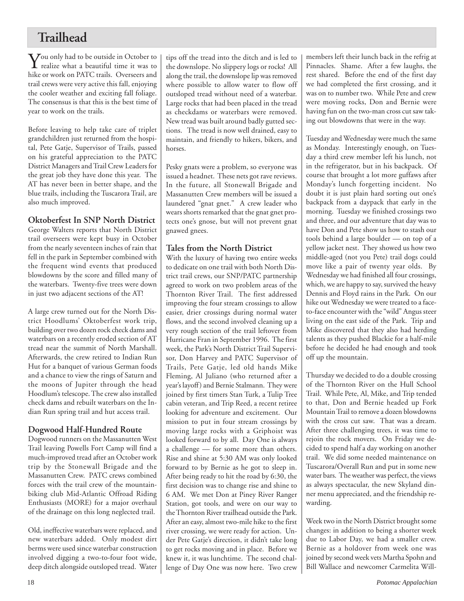## **Trailhead**

 $\sum$  ou only had to be outside in October to<br>realize what a beautiful time it was to hike or work on PATC trails. Overseers and trail crews were very active this fall, enjoying the cooler weather and exciting fall foliage. The consensus is that this is the best time of year to work on the trails.

Before leaving to help take care of triplet grandchildren just returned from the hospital, Pete Gatje, Supervisor of Trails, passed on his grateful appreciation to the PATC District Managers and Trail Crew Leaders for the great job they have done this year. The AT has never been in better shape, and the blue trails, including the Tuscarora Trail, are also much improved.

## **Oktoberfest In SNP North District**

George Walters reports that North District trail overseers were kept busy in October from the nearly seventeen inches of rain that fell in the park in September combined with the frequent wind events that produced blowdowns by the score and filled many of the waterbars. Twenty-five trees were down in just two adjacent sections of the AT!

A large crew turned out for the North District Hoodlums' Oktoberfest work trip, building over two dozen rock check dams and waterbars on a recently eroded section of AT tread near the summit of North Marshall. Afterwards, the crew retired to Indian Run Hut for a banquet of various German foods and a chance to view the rings of Saturn and the moons of Jupiter through the head Hoodlum's telescope. The crew also installed check dams and rebuilt waterbars on the Indian Run spring trail and hut access trail.

## **Dogwood Half-Hundred Route**

Dogwood runners on the Massanutten West Trail leaving Powells Fort Camp will find a much-improved tread after an October work trip by the Stonewall Brigade and the Massanutten Crew. PATC crews combined forces with the trail crew of the mountainbiking club Mid-Atlantic Offroad Riding Enthusiasts (MORE) for a major overhaul of the drainage on this long neglected trail.

Old, ineffective waterbars were replaced, and new waterbars added. Only modest dirt berms were used since waterbar construction involved digging a two-to-four foot wide, deep ditch alongside outsloped tread. Water tips off the tread into the ditch and is led to the downslope. No slippery logs or rocks! All along the trail, the downslope lip was removed where possible to allow water to flow off outsloped tread without need of a waterbar. Large rocks that had been placed in the tread as checkdams or waterbars were removed. New tread was built around badly gutted sections. The tread is now well drained, easy to maintain, and friendly to hikers, bikers, and horses.

Pesky gnats were a problem, so everyone was issued a headnet. These nets got rave reviews. In the future, all Stonewall Brigade and Massanutten Crew members will be issued a laundered "gnat gnet." A crew leader who wears shorts remarked that the gnat gnet protects one's gnose, but will not prevent gnat gnawed gnees.

## **Tales from the North District**

With the luxury of having two entire weeks to dedicate on one trail with both North District trail crews, our SNP/PATC partnership agreed to work on two problem areas of the Thornton River Trail. The first addressed improving the four stream crossings to allow easier, drier crossings during normal water flows, and the second involved cleaning up a very rough section of the trail leftover from Hurricane Fran in September 1996. The first week, the Park's North District Trail Supervisor, Don Harvey and PATC Supervisor of Trails, Pete Gatje, led old hands Mike Fleming, Al Juliano (who returned after a year's layoff) and Bernie Stalmann. They were joined by first timers Stan Turk, a Tulip Tree cabin veteran, and Trip Reed, a recent retiree looking for adventure and excitement. Our mission to put in four stream crossings by moving large rocks with a Griphoist was looked forward to by all. Day One is always a challenge — for some more than others. Rise and shine at 5:30 AM was only looked forward to by Bernie as he got to sleep in. After being ready to hit the road by 6:30, the first decision was to change rise and shine to 6 AM. We met Don at Piney River Ranger Station, got tools, and were on our way to the Thornton River trailhead outside the Park. After an easy, almost two-mile hike to the first river crossing, we were ready for action. Under Pete Gatje's direction, it didn't take long to get rocks moving and in place. Before we knew it, it was lunchtime. The second challenge of Day One was now here. Two crew members left their lunch back in the refrig at Pinnacles. Shame. After a few laughs, the rest shared. Before the end of the first day we had completed the first crossing, and it was on to number two. While Pete and crew were moving rocks, Don and Bernie were having fun on the two-man cross cut saw taking out blowdowns that were in the way.

Tuesday and Wednesday were much the same as Monday. Interestingly enough, on Tuesday a third crew member left his lunch, not in the refrigerator, but in his backpack. Of course that brought a lot more guffaws after Monday's lunch forgetting incident. No doubt it is just plain hard sorting out one's backpack from a daypack that early in the morning. Tuesday we finished crossings two and three, and our adventure that day was to have Don and Pete show us how to stash our tools behind a large boulder — on top of a yellow jacket nest. They showed us how two middle-aged (not you Pete) trail dogs could move like a pair of twenty year olds. By Wednesday we had finished all four crossings, which, we are happy to say, survived the heavy Dennis and Floyd rains in the Park. On our hike out Wednesday we were treated to a faceto-face encounter with the "wild" Angus steer living on the east side of the Park. Trip and Mike discovered that they also had herding talents as they pushed Blackie for a half-mile before he decided he had enough and took off up the mountain.

Thursday we decided to do a double crossing of the Thornton River on the Hull School Trail. While Pete, Al, Mike, and Trip tended to that, Don and Bernie headed up Fork Mountain Trail to remove a dozen blowdowns with the cross cut saw. That was a dream. After three challenging trees, it was time to rejoin the rock movers. On Friday we decided to spend half a day working on another trail. We did some needed maintenance on Tuscarora/Overall Run and put in some new water bars. The weather was perfect, the views as always spectacular, the new Skyland dinner menu appreciated, and the friendship rewarding.

Week two in the North District brought some changes: in addition to being a shorter week due to Labor Day, we had a smaller crew. Bernie as a holdover from week one was joined by second week vets Martha Spohn and Bill Wallace and newcomer Carmelita Will-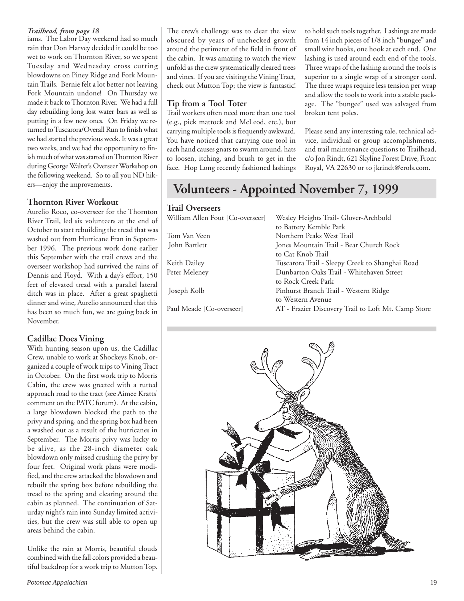### *Trailhead, from page 18*

iams. The Labor Day weekend had so much rain that Don Harvey decided it could be too wet to work on Thornton River, so we spent Tuesday and Wednesday cross cutting blowdowns on Piney Ridge and Fork Mountain Trails. Bernie felt a lot better not leaving Fork Mountain undone! On Thursday we made it back to Thornton River. We had a full day rebuilding long lost water bars as well as putting in a few new ones. On Friday we returned to Tuscarora/Overall Run to finish what we had started the previous week. It was a great two weeks, and we had the opportunity to finish much of what was started on Thornton River during George Walter's Overseer Workshop on the following weekend. So to all you ND hikers—enjoy the improvements.

### **Thornton River Workout**

Aurelio Roco, co-overseer for the Thornton River Trail, led six volunteers at the end of October to start rebuilding the tread that was washed out from Hurricane Fran in September 1996. The previous work done earlier this September with the trail crews and the overseer workshop had survived the rains of Dennis and Floyd. With a day's effort, 150 feet of elevated tread with a parallel lateral ditch was in place. After a great spaghetti dinner and wine, Aurelio announced that this has been so much fun, we are going back in November.

### **Cadillac Does Vining**

With hunting season upon us, the Cadillac Crew, unable to work at Shockeys Knob, organized a couple of work trips to Vining Tract in October. On the first work trip to Morris Cabin, the crew was greeted with a rutted approach road to the tract (see Aimee Kratts' comment on the PATC forum). At the cabin, a large blowdown blocked the path to the privy and spring, and the spring box had been a washed out as a result of the hurricanes in September. The Morris privy was lucky to be alive, as the 28-inch diameter oak blowdown only missed crushing the privy by four feet. Original work plans were modified, and the crew attacked the blowdown and rebuilt the spring box before rebuilding the tread to the spring and clearing around the cabin as planned. The continuation of Saturday night's rain into Sunday limited activities, but the crew was still able to open up areas behind the cabin.

Unlike the rain at Morris, beautiful clouds combined with the fall colors provided a beautiful backdrop for a work trip to Mutton Top.

The crew's challenge was to clear the view obscured by years of unchecked growth around the perimeter of the field in front of the cabin. It was amazing to watch the view unfold as the crew systematically cleared trees and vines. If you are visiting the Vining Tract, check out Mutton Top; the view is fantastic!

## **Tip from a Tool Toter**

Trail workers often need more than one tool (e.g., pick mattock and McLeod, etc.), but carrying multiple tools is frequently awkward. You have noticed that carrying one tool in each hand causes gnats to swarm around, hats to loosen, itching, and brush to get in the face. Hop Long recently fashioned lashings to hold such tools together. Lashings are made from 14 inch pieces of 1/8 inch "bungee" and small wire hooks, one hook at each end. One lashing is used around each end of the tools. Three wraps of the lashing around the tools is superior to a single wrap of a stronger cord. The three wraps require less tension per wrap and allow the tools to work into a stable package. The "bungee" used was salvaged from broken tent poles.

Please send any interesting tale, technical advice, individual or group accomplishments, and trail maintenance questions to Trailhead, c/o Jon Rindt, 621 Skyline Forest Drive, Front Royal, VA 22630 or to jkrindt@erols.com.

## **Volunteers - Appointed November 7, 1999**

### **Trail Overseers**

| William Allen Fout [Co-overseer] | Wesley Heights Trail- Glover-Archbold               |
|----------------------------------|-----------------------------------------------------|
|                                  | to Battery Kemble Park                              |
| Tom Van Veen                     | Northern Peaks West Trail                           |
| John Bartlett                    | Jones Mountain Trail - Bear Church Rock             |
|                                  | to Cat Knob Trail                                   |
| Keith Dailey                     | Tuscarora Trail - Sleepy Creek to Shanghai Road     |
| Peter Meleney                    | Dunbarton Oaks Trail - Whitehaven Street            |
|                                  | to Rock Creek Park                                  |
| Joseph Kolb                      | Pinhurst Branch Trail - Western Ridge               |
|                                  | to Western Avenue                                   |
| Paul Meade [Co-overseer]         | AT - Frazier Discovery Trail to Loft Mt. Camp Store |
|                                  |                                                     |